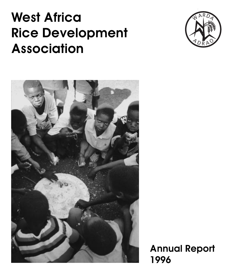# **West Africa Rice Development Association**





**Annual Report 1996**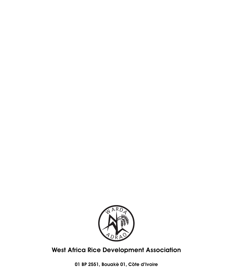

# **West Africa Rice Development Association**

**01 BP 2551, Bouaké 01, Côte d'Ivoire**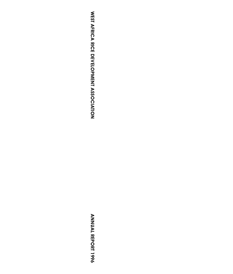ANNUAL REPORT 1996 **ANNUAL REPORT 1996**

WEST AFRICA RICE DEVELOPMENT ASSOCIATION **WEST AFRICA RICE DEVELOPMENT ASSOCIATION**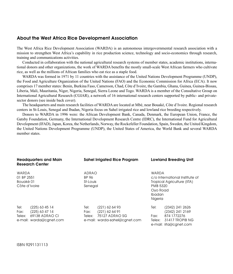#### **About the West Africa Rice Development Association**

The West Africa Rice Development Association (WARDA) is an autonomous intergovernmental research association with a mission to strengthen West Africa's capability in rice production science, technology and socio-economics through research, training and communications activities.

Conducted in collaboration with the national agricultural research systems of member states, academic institutions, international donors and other organizations, the work of WARDA benefits the mostly small-scale West African farmers who cultivate rice, as well as the millions of African families who eat rice as a staple food.

WARDA was formed in 1971 by 11 countries with the assistance of the United Nations Development Programme (UNDP), the Food and Agriculture Organization of the United Nations (FAO) and the Economic Commission for Africa (ECA). It now comprises 17 member states: Benin, Burkina Faso, Cameroon, Chad, Côte d'Ivoire, the Gambia, Ghana, Guinea, Guinea-Bissau, Liberia, Mali, Mauritania, Niger, Nigeria, Senegal, Sierra Leone and Togo. WARDA is a member of the Consultative Group on International Agricultural Research (CGIAR), a network of 16 international research centers supported by public- and privatesector donors (see inside back cover).

The headquarters and main research facilities of WARDA are located at Mbé, near Bouaké, Côte d'Ivoire. Regional research centers in St-Louis, Senegal and Ibadan, Nigeria focus on Sahel irrigated rice and lowland rice breeding respectively.

Donors to WARDA in 1996 were: the African Development Bank, Canada, Denmark, the European Union, France, the Gatsby Foundation, Germany, the International Development Research Centre (IDRC), the International Fund for Agricultural Development (IFAD), Japan, Korea, the Netherlands, Norway, the Rockefeller Foundation, Spain, Sweden, the United Kingdom, the United Nations Development Programme (UNDP), the United States of America, the World Bank and several WARDA member states.

| <b>Headquarters and Main</b><br><b>Research Center</b> |                                                                                   |                                       | <b>Sahel Irrigated Rice Program</b>                                                     | <b>Lowland Breeding Unit</b>                       |                                                                                                |
|--------------------------------------------------------|-----------------------------------------------------------------------------------|---------------------------------------|-----------------------------------------------------------------------------------------|----------------------------------------------------|------------------------------------------------------------------------------------------------|
| WARDA<br>01 BP 2551<br>Bouaké 01<br>Côte d'Ivoire      |                                                                                   | ADRAO<br>BP 96<br>St-Louis<br>Senegal |                                                                                         | WARDA<br>PMB 5320<br>Ovo Road<br>Ibadan<br>Nigeria | c/o International Institute of<br>Tropical Agriculture (IITA)                                  |
| Tel:<br>Fax:<br>Telex:                                 | $(225)$ 63 45 14<br>$(225)$ 63 47 14<br>69138 ADRAO CI<br>e-mail: warda@canet.com | Tel:<br>Fax:<br>Telex:                | $(221)$ 62 64 93<br>$(221)$ 62 64 91<br>75127 ADRAO SG<br>e-mail: warda-sahel@canet.com | Tel:<br>Fax:<br>Telex:                             | (2342) 241 2626<br>(2342) 241 2169<br>874 1772276<br>31417 TROPIB NG<br>e-mail: iita@canet.com |

ISBN 9291131113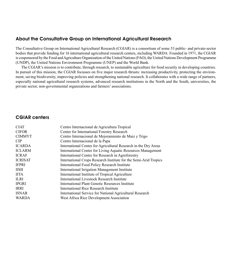#### **About the Consultative Group on International Agricultural Research**

The Consultative Group on International Agricultural Research (CGIAR) is a consortium of some 53 public- and private-sector bodies that provide funding for 16 international agricultural research centers, including WARDA. Founded in 1971, the CGIAR is cosponsored by the Food and Agriculture Organization of the United Nations (FAO), the United Nations Development Programme (UNDP), the United Nations Environment Programme (UNEP) and the World Bank.

The CGIAR's mission is to contribute, through research, to sustainable agriculture for food security in developing countries. In pursuit of this mission, the CGIAR focusses on five major research thrusts: increasing productivity, protecting the environment, saving biodiversity, improving policies and strengthening national research. It collaborates with a wide range of partners, especially national agricultural research systems, advanced research institutions in the North and the South, universities, the private sector, non-governmental organizations and farmers' associations.

#### **CGIAR centers**

| <b>CIAT</b>    | Centro Internacional de Agricultura Tropical                     |
|----------------|------------------------------------------------------------------|
| <b>CIFOR</b>   | Center for International Forestry Research                       |
| <b>CIMMYT</b>  | Centro Internacional de Mejoramiento de Maiz y Trigo             |
| <b>CIP</b>     | Centro Internacional de la Papa                                  |
| <b>ICARDA</b>  | International Center for Agricultural Research in the Dry Areas  |
| <b>ICLARM</b>  | International Center for Living Aquatic Resources Management     |
| <b>ICRAF</b>   | International Centre for Research in Agroforestry                |
| <b>ICRISAT</b> | International Crops Research Institute for the Semi-Arid Tropics |
| <b>IFPRI</b>   | <b>International Food Policy Research Institute</b>              |
| <b>IIMI</b>    | International Irrigation Management Institute                    |
| <b>IITA</b>    | International Institute of Tropical Agriculture                  |
| <b>ILRI</b>    | <b>International Livestock Research Institute</b>                |
| <b>IPGRI</b>   | <b>International Plant Genetic Resources Institute</b>           |
| <b>IRRI</b>    | International Rice Research Institute                            |
| <b>ISNAR</b>   | International Service for National Agricultural Research         |
| <b>WARDA</b>   | West Africa Rice Development Association                         |
|                |                                                                  |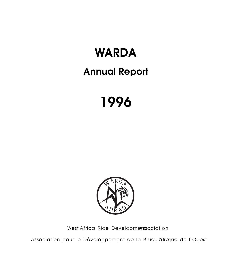# **WARDA**

# **Annual Report**

# **1996**



West Africa Rice Developmentsociation

Association pour le Développement de la Riziculturiage de l'Ouest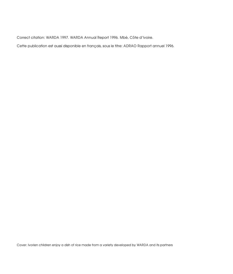Correct citation: WARDA 1997. WARDA Annual Report 1996. Mbé, Côte d'Ivoire.

Cette publication est aussi disponible en français, sous le titre: ADRAO Rapport annuel 1996.

Cover: Ivorien children enjoy a dish of rice made from a variety developed by WARDA and its partners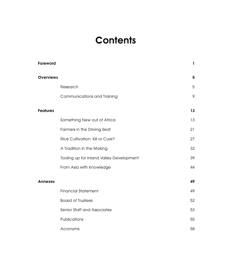# **Contents**

| Foreword         |                                          | 1  |
|------------------|------------------------------------------|----|
| <b>Overviews</b> |                                          | 5  |
|                  | Research                                 | 5  |
|                  | Communications and Training              | 9  |
| <b>Features</b>  |                                          | 13 |
|                  | Something New out of Africa              | 13 |
|                  | Farmers in the Driving Seat              | 21 |
|                  | Rice Cultivation: Kill or Cure?          | 27 |
|                  | A Tradition in the Making                | 32 |
|                  | Tooling up for Inland Valley Development | 39 |
|                  | From Asia with Knowledge                 | 44 |
| Annexes          |                                          | 49 |
|                  | <b>Financial Statement</b>               | 49 |
|                  | <b>Board of Trustees</b>                 | 52 |
|                  | Senior Staff and Associates              | 53 |
|                  | Publications                             | 55 |
|                  | Acronyms                                 | 58 |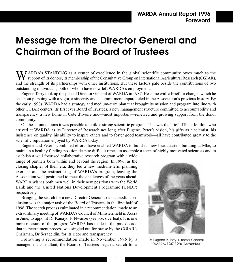# **Message from the Director General and Chairman of the Board of Trustees**

WARDA's STANDING as a center of excellence in the global scientific community owes much to the support of its donors, its membership of the Consultative Group on International Agricultural Research (CGIAR), and the strength of its partnerships with other institutions. But these factors pale beside the contributions of two outstanding individuals, both of whom have now left WARDA's employment.

Eugene Terry took up the post of Director General of WARDA in 1987. He came with a brief for change, which he set about pursuing with a vigor, a sincerity and a commitment unparalleled in the Association's previous history. By the early 1990s, WARDA had a strategy and medium-term plan that brought its mission and program into line with other CGIAR centers, its first ever Board of Trustees, a new management structure committed to accountability and transparency, a new home in Côte d'Ivoire and—most important—renewed and growing support from the donor community.

On these foundations it was possible to build a strong scientific program. This was the brief of Peter Matlon, who arrived at WARDA as its Director of Research not long after Eugene. Peter's vision, his gifts as a scientist, his insistence on quality, his ability to inspire others and to foster good teamwork—all have contributed greatly to the scientific reputation enjoyed by WARDA today.

Eugene and Peter's combined efforts have enabled WARDA to build its new headquarters building at Mbé, to maintain a healthy funding position despite difficult times, to assemble a team of highly motivated scientists and to

establish a well focussed collaborative research program with a wide range of partners both within and beyond the region. In 1996, as the closing chapter of their era, they led a new medium-term planning exercise and the restructuring of WARDA's program, leaving the Association well positioned to meet the challenges of the years ahead. WARDA wishes both men well in their new positions with the World Bank and the United Nations Development Programme (UNDP) respectively.

Bringing the search for a new Director General to a successful conclusion was the major task of the Board of Trustees in the first half of 1996. The search process culminated in a recommendation, made to an extraordinary meeting of WARDA's Council of Ministers held in Accra in June, to appoint Dr Kanayo F. Nwanze (see box overleaf). It is one more measure of the progress WARDA has made in the past decade that its recruitment process was singled out for praise by the CGIAR's Chairman, Dr Serageldin, for its rigor and transparency.

Following a recommendation made in November 1996 by a management consultant, the Board of Trustees began a search for a



Dr. Eugene R. Terry, Director General of WARDA, 1987-1996 (November)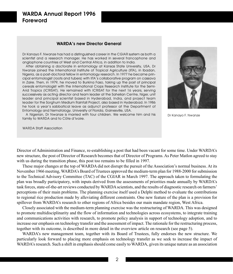### **WARDA Annual Report 1996 Foreword**

#### **WARDA's new Director General**

Dr Kanayo F. Nwanze has had a distinguished career in the CGIAR system as both a scientist and a research manager. He has worked in several francophone and anglophone countries of West and Central Africa, in addition to India.

After obtaining a doctorate in entomology at Kansas State University, USA, Dr Nwanze joined the International Institute of Tropical Agriculture (IITA), in Ibadan, Nigeria, as a post-doctoral fellow in entomology research. In 1977 he became principal entomologist (roots and tubers) with IITA's collaborative program on cassava in Zaire. Then, in 1979, he moved to Burkina Faso, taking up the post of principal cereals entomologist with the International Crops Research Institute for the Semi-Arid Tropics (ICRISAT). He remained with ICRISAT for the next 16 years, serving successively as acting director and team leader at the Sahelian Centre, Niger, unit leader and principal scientist based in Hyderabad, India, and project team leader for the Sorghum Medium Rainfall Project, also based in Hyderabad. In 1986 he took a year's sabbatical leave as adjunct professor at the Department of Entomology and Nematology. University of Florida, Gainesville, USA.



Dr Kanayo F. Nwanze

A Nigerian, Dr Nwanze is married with four children. We welcome him and his family to WARDA and to Côte d'Ivoire.

WARDA Staff Association

Director of Administration and Finance, re-establishing a post that had been vacant for some time. Under WARDA's new structure, the post of Director of Research becomes that of Director of Programs. As Peter Matlon agreed to stay with us during the transition phase, this post too remains to be filled in 1997.

These major changes at the top of WARDA did not disrupt the pursuit of the Association's normal business. At its November 1966 meeting, WARDA's Board of Trustees approved the medium-term plan for 1988-2000 for submission to the Technical Advisory Committee (TAC) of the CGIAR in March 1997. The approach taken to formulating the plan was broadly participatory, with inputs derived from the assessments of priorities made annually by WARDA's task forces, state-of-the-art reviews conducted by WARDA scientists, and the results of diagnostic research on farmers' perceptions of their main problems. The planning exercise itself used a Delphi method to evaluate the contributions to regional rice production made by alleviating different constraints. One new feature of the plan is a provision for spillover from WARDA's research to other regions of Africa besides our main mandate region, West Africa.

Closely associated with the medium-term planning exercise was the restructuring of WARDA. This was designed to promote multidisciplinarity and the flow of information and technologies across ecosystems, to integrate training and communications activities with research, to promote policy analysis in support of technology adoption, and to increase our emphasis on technology transfer and the assessment of impact. The rationale for the restructuring process, together with its outcome, is described in more detail in the overview article on research (see page 5).

WARDA's new management team, together with its Board of Trustees, fully endorses the new structure. We particularly look forward to placing more emphasis on technology transfer as we seek to increase the impact of WARDA's research. Such a shift in emphasis should come easily to WARDA, given its unique nature as an association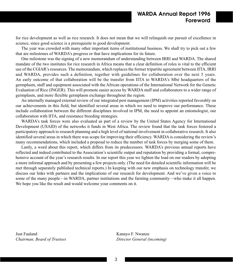for rice development as well as rice research. It does not mean that we will relinquish our pursuit of excellence in science, since good science is a prerequisite to good development.

The year was crowded with many other important items of institutional business. We shall try to pick out a few that are milestones of WARDA's progress or that have implications for its future.

One milestone was the signing of a new memorandum of understanding between IRRI and WARDA. The shared mandate of the two institutes for rice research in Africa means that a clear definition of roles is vital to the efficient use of the CGIAR's resources. The memorandum, which replaces the former tripartite agreement between IITA, IRRI and WARDA, provides such a definition, together with guidelines for collaboration over the next 5 years. An early outcome of that collaboration will be the transfer from IITA to WARDA's Mbé headquarters of the germplasm, staff and equipment associated with the African operations of the International Network for the Genetic Evaluation of Rice (INGER). This will promote easier access by WARDA staff and collaborators to a wider range of germplasm, and more flexible germplasm exchange throughout the region.

An internally managed external review of our integrated pest management (IPM) activities reported favorably on our achievements in this field, but identified several areas in which we need to improve our performance. These include collaboration between the different disciplines involved in IPM, the need to appoint an entomologist, our collaboration with IITA, and resistance breeding strategies.

WARDA's task forces were also evaluated as part of a review by the United States Agency for International Development (USAID) of the networks it funds in West Africa. The review found that the task forces fostered a participatory approach to research planning and a high level of national involvement in collaborative research. It also identified several areas in which there was scope for improving their efficiency. WARDA is considering the review's many recommendations, which included a proposal to reduce the number of task forces by merging some of them.

Lastly, a word about this report, which differs from its predecessors. WARDA's previous annual reports have reflected and indeed contributed to the Association's scientific output and reputation by providing a formal, comprehensive account of the year's research results. In our report this year we lighten the load on our readers by adopting a more informal approach and by presenting a few projects only. (The need for detailed scientific information will be met through separately published technical reports.) In keeping with our new emphasis on technology transfer, we discuss our links with partners and the implications of our research for development. And we've given a voice to some of the many people—in WARDA, partner institutions and the farming community—who make it all happen. We hope you like the result and would welcome your comments on it.

Just Faaland Kanayo F. Nwanze *Chairman, Board of Trustees Director General (incoming)*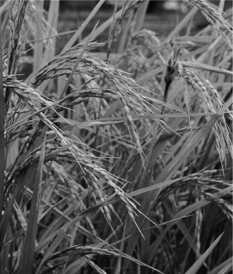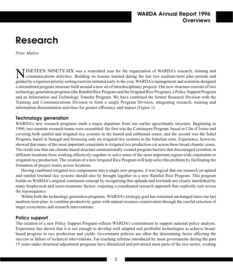# **Research**

*Peter Matlon*

NINETEEN NINETY-SIX was a watershed year for the organization of WARDA's research, training and communications activities. Building on lessons learned during the last two medium-term plan periods and guided by a rigorous priority-setting exercise initiated early in the year, WARDA's management and scientists designed a streamlined program structure built around a new set of interdisciplinary projects. Our new structure consists of two technology generation programs (the Rainfed Rice Program and the Irrigated Rice Program), a Policy Support Program and an Information and Technology Transfer Program. We have combined the former Research Division with the Training and Communications Division to form a single Program Division, integrating research, training and information dissemination activities for greater efficiency and impact (Figure 1).

#### **Technology generation**

WARDA's new research programs mark a major departure from our earlier agroclimatic structure. Beginning in 1990, two separate research teams were assembled: the first was the Continuum Program, based in Côte d'Ivoire and covering both rainfed and irrigated rice systems in the humid and subhumid zones; and the second was the Sahel Program, based in Senegal and focussing only on irrigated rice systems in the Sahelian zone. Experience, however, showed that many of the most important constraints to irrigated rice production cut across these broad climatic zones. The result was that our climate-based structure unintentionally created program barriers that discouraged scientists in different locations from working effectively together to solve some of the most important region-wide constraints to irrigated rice production. The creation of a new Irrigated Rice Program will help solve this problem by facilitating the formation of project teams across locations.

Having combined irrigated rice components into a single new program, it was logical that our research on upland and rainfed lowland rice systems should also be brought together in a new Rainfed Rice Program. This program builds on WARDA's original continuum concept by recognizing that uplands and lowlands are closely interlinked by many biophysical and socio-economic factors, requiring a coordinated research approach that explicitly cuts across the toposequence.

Within both the technology generation programs, WARDA's strategic goal has remained unchanged since our last medium-term plan: to combine productivity gains with natural resource conservation through the careful selection of target ecosystems and research interventions.

#### **Policy support**

The creation of a new Policy Support Program reflects WARDA's commitment to support national policy analysts. Experience has shown that it is not enough to develop well adapted and profitable technologies to achieve broadbased progress in rice production and yields. Government policies are often the determining factor affecting the success or failure of technical interventions. Far-reaching reforms introduced by most governments during the past 15 years under structural adjustment programs have liberalized and privatized most parts of the rice sector, creating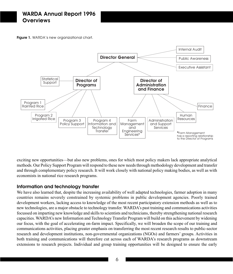### **WARDA Annual Report 1996 Overviews**





exciting new opportunities—but also new problems, ones for which most policy makers lack appropriate analytical methods. Our Policy Support Program will respond to these new needs through methodology development and transfer and through complementary policy research. It will work closely with national policy making bodies, as well as with economists in national rice research programs.

#### **Information and technology transfer**

We have also learned that, despite the increasing availability of well adapted technologies, farmer adoption in many countries remains severely constrained by systemic problems in public development agencies. Poorly trained development workers, lacking access to knowledge of the most recent participatory extension methods as well as to new technologies, are a major obstacle to technology transfer. WARDA's past training and communications activities focussed on imparting new knowledge and skills to scientists and technicians, thereby strengthening national research capacities. WARDA's new Information and Technology Transfer Program will build on this achievement by widening our focus, with the goal of accelerating on-farm impact. Specifically, we will broaden the scope of our training and communications activities, placing greater emphasis on transferring the most recent research results to public-sector research and development institutions, non-governmental organizations (NGOs) and farmers' groups. Activities in both training and communications will therefore cut across each of WARDA's research programs as downstream extensions to research projects. Individual and group training opportunities will be designed to ensure the early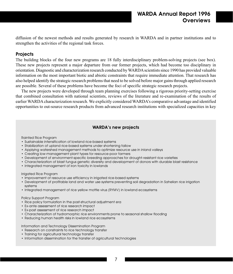diffusion of the newest methods and results generated by research in WARDA and in partner institutions and to strengthen the activities of the regional task forces.

#### **Projects**

The building blocks of the four new programs are 18 fully interdisciplinary problem-solving projects (see box). These new projects represent a major departure from our former projects, which had become too disciplinary in orientation. Diagnostic and characterization research conducted by WARDA scientists since 1990 has provided valuable information on the most important biotic and abiotic constraints that require immediate attention. That research has also helped identify the strategic research problems that need to be solved before major gains through applied research are possible. Several of these problems have become the foci of specific strategic research projects.

The new projects were developed through team planning exercises following a rigorous priority-setting exercise that combined consultation with national scientists, reviews of the literature and re-examination of the results of earlier WARDA characterization research. We explicitly considered WARDA's comparative advantage and identified opportunities to out-source research products from advanced research institutions with specialized capacities in key

#### **WARDA's new projects**

Rainfed Rice Program

- Sustainable intensification of lowland rice-based systems
- Stabilization of upland rice-based systems under shortening fallow
- Applying watershed management methods to optimize resource use in inland valleys
- Creating low-management plant types for resource-poor farmers
- Development of environment-specific breeding approaches for drought-resistant rice varieties
- Characterization of blast fungus genetic diversity and development of donors with durable blast resistance
- Integrated management of iron toxicity in lowlands

Irrigated Rice Program

- Improvement of resource use efficiency in irrigated rice-based systems
- Development of profitable land and water use systems preventing soil degradation in Sahelian rice irrigation systems
- Integrated management of rice yellow mottle virus (RYMV) in lowland ecosystems

#### Policy Support Program

- Rice policy formulation in the post-structural adjustment era
- Ex-ante assessment of rice research impact
- Ex-post assessment of rice research impact
- Characterization of hydromorphic rice environments prone to seasonal shallow flooding
- Reducing human health risks in lowland rice ecosystems

Information and Technology Dissemination Program

- Research on constraints to rice technology transfer
- Training for agricultural technology transfer
- Information dissemination for the transfer of agricultural technologies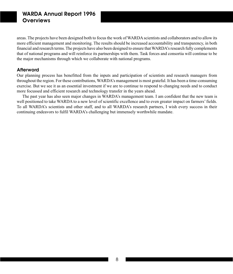areas. The projects have been designed both to focus the work of WARDA scientists and collaborators and to allow its more efficient management and monitoring. The results should be increased accountability and transparency, in both financial and research terms. The projects have also been designed to ensure that WARDA's research fully complements that of national programs and will reinforce its partnerships with them. Task forces and consortia will continue to be the major mechanisms through which we collaborate with national programs.

#### **Afterword**

Our planning process has benefitted from the inputs and participation of scientists and research managers from throughout the region. For these contributions, WARDA's management is most grateful. It has been a time-consuming exercise. But we see it as an essential investment if we are to continue to respond to changing needs and to conduct more focussed and efficient research and technology transfer in the years ahead.

The past year has also seen major changes in WARDA's management team. I am confident that the new team is well positioned to take WARDA to a new level of scientific excellence and to even greater impact on farmers' fields. To all WARDA's scientists and other staff, and to all WARDA's research partners, I wish every success in their continuing endeavors to fulfil WARDA's challenging but immensely worthwhile mandate.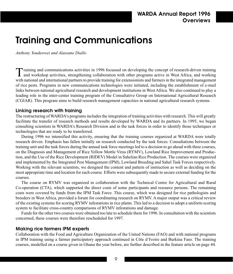# **Training and Communications**

*Anthony Youdeowei and Alassane Diallo*

Training and communications activities in 1996 focussed on developing the concept of research-driven training and workshop activities, strengthening collaboration with other programs active in West Africa, and working with national and international partners to provide training for extensionists and farmers in the integrated management of rice pests. Programs in new communications technologies were initiated, including the establishment of e-mail links between national agricultural research and development institutions in West Africa. We also continued to play a leading role in the inter-center training program of the Consultative Group on International Agricultural Research (CGIAR). This program aims to build research management capacities in national agricultural research systems.

#### **Linking research with training**

The restructuring of WARDA's programs includes the integration of training activities with research. This will greatly facilitate the transfer of research methods and results developed by WARDA and its partners. In 1995, we began consulting scientists in WARDA's Research Division and in the task forces in order to identify those techniques or technologies that are ready to be transferred.

During 1996 we intensified this activity, ensuring that the training courses organized at WARDA were totally research driven. Emphasis has fallen initially on research conducted by the task forces. Consultations between the training unit and the task forces during the annual task force meetings led to a decision to go ahead with three courses, on the Diagnosis and Management of Rice Yellow Mottle Virus (RYMV), Lowland Rice Improvement and Production, and the Use of the Rice Development (RIDEV) Model in Sahelian Rice Production. The courses were organized and implemented by the Integrated Pest Management (IPM), Lowland Breeding and Sahel Task Forces respectively. Working with the relevant scientists, we designed the content and pattern of instruction as well as deciding on the most appropriate time and location for each course. Efforts were subsequently made to secure external funding for the courses.

The course on RYMV was organized in collaboration with the Technical Centre for Agricultural and Rural Co-operation (CTA), which supported the direct costs of some participants and resource persons. The remaining costs were covered by funds from the IPM Task Force. This course, which was designed for rice pathologists and breeders in West Africa, provided a forum for coordinating research on RYMV. A major output was a critical review of the existing systems for scoring RYMV infestations in rice plants. This led to a decision to adopt a uniform scoring system to facilitate cross-country comparisons of RYMV infestations and damage.

Funds for the other two courses were obtained too late to schedule them for 1996. In consultation with the scientists concerned, these courses were therefore rescheduled for 1997.

#### **Making rice farmers IPM experts**

Collaboration with the Food and Agriculture Organization of the United Nations (FAO) and with national programs in IPM training using a farmer participatory approach continued in Côte d'Ivoire and Burkina Faso. The training courses, modelled on a course given in Ghana the year before, are further described in the feature article on page 44.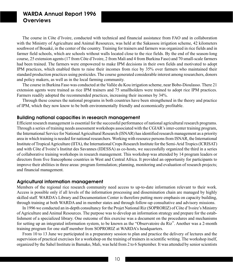### **WARDA Annual Report 1996 Overviews**

The course in Côte d'Ivoire, conducted with technical and financial assistance from FAO and in collaboration with the Ministry of Agriculture and Animal Resources, was held at the Sakassou irrigation scheme, 42 kilometers southwest of Bouaké, in the center of the country. Training for trainers and farmers was organized in rice fields and in farmer field schools, which are schools without walls located close to the rice fields. By the end of the season-long course, 25 extension agents (17 from Côte d'Ivoire, 2 from Mali and 4 from Burkina Faso) and 70 small-scale farmers had been trained. The farmers were empowered to make IPM decisions in their own fields and motivated to adopt IPM practices, which enabled them to raise their incomes from rice by 35% over farmers who maintained their standard production practices using pesticides. The course generated considerable interest among researchers, donors and policy makers, as well as in the local farming community.

The course in Burkina Faso was conducted at the Vallée du Kou irrigation scheme, near Bobo-Dioulasso. There 21 extension agents were trained as rice IPM trainers and 75 smallholders were trained to adopt rice IPM practices. Farmers readily adopted the recommended practices, increasing their incomes by 34%.

Through these courses the national programs in both countries have been strengthened in the theory and practice of IPM, which they now know to be both environmentally friendly and economically profitable.

#### **Building national capacities in research management**

Efficient research management is essential for the successful performance of national agricultural research programs. Through a series of training needs assessment workshops associated with the CGIAR's inter-center training program, the International Service for National Agricultural Research (ISNAR) has identified research management as a priority area in which training is needed for national researchers. Working with resource persons from ISNAR, the International Institute of Tropical Agriculture (IITA), the International Crops Research Institute for the Semi-Arid Tropics (lCRISAT) and with Côte d'Ivoire's Institut des Savannes (IDESSA) as co-hosts, we successfully organized the third in a series of collaborative training workshops in research management. This workshop was attended by 14 program leaders or directors from five francophone countries in West and Central Africa. It provided an opportunity for participants to improve their abilities in three areas: program formulation; planning, monitoring and evaluation of research projects; and financial management.

#### **Agricultural information management**

Members of the regional rice research community need access to up-to-date information relevant to their work. Access is possible only if all levels of the information processing and dissemination chain are managed by highly skilled staff. WARDA's Library and Documentation Center is therefore putting more emphasis on capacity building, through training at both WARDA and in member states and through follow-up consultative and advisory missions.

In 1996 we conducted an in-depth consultancy for the Projet National Riz (SOPRORIZ) of Côte d'Ivoire's Ministry of Agriculture and Animal Resources. The purpose was to develop an information strategy and prepare for the establishment of a specialized library. One outcome of this exercise was a document on the procedures and mechanisms for setting up an integrated information system, to be known as the "Observatoire du Riz". Another was a 2-month training program for one staff member from SOPRORIZ at WARDA's headquarters.

From 10 to 13 June we participated in a preparatory session to plan and practice the delivery of lectures and the supervision of practical exercises for a workshop on the training of trainers in scientific writing. The workshop itself, organized by the Sahel Institute in Bamako, Mali, was held from 2 to 6 September. It was attended by senior scientists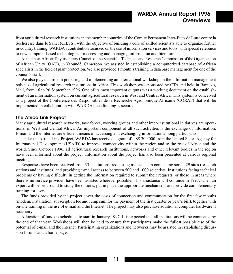from agricultural research institutions in the member countries of the Comité Permanent Inter-Etats de Lutte contre la Sécheresse dans le Sahel (CILSS), with the objective of building a core of skilled scientists able to organize further in-country training. WARDA's contribution focussed on the use of information services and tools, with special reference to new computer-based technologies for accessing and managing information and literature.

At the Inter-African Phytosanitary Council of the Scientific, Technical and Research Commission of the Organization of African Unity (OAU), in Yaoundé, Cameroon, we assisted in establishing a computerized database of African specialists in the field of plant protection. We also provided 1 month's training in data base management for one of the council's staff.

We also played a role in preparing and implementing an international workshop on the information management policies of agricultural research institutions in Africa. This workshop was sponsored by CTA and held in Bamako, Mali, from 16 to 20 September 1996. One of its most important outputs was a working document on the establishment of an information system on current agricultural research in West and Central Africa. This system is conceived as a project of the Conférence des Responsables de la Recherche Agronomique Africaine (CORAF) that will be implemented in collaboration with WARDA once funding is secured.

#### **The Africa Link Project**

Many agricultural research networks, task forces, working groups and other inter-institutional initiatives are operational in West and Central Africa. An important component of all such activities is the exchange of information. E-mail and the Internet are efficient means of accessing and exchanging information among participants.

Under the Africa Link Project, WARDA has received a grant of US\$ 300 000 from the United States Agency for International Development (USAID) to improve connectivity within the region and to the rest of Africa and the world. Since October 1996, all agricultural research institutions, networks and other relevant bodies in the region have been informed about the project. Information about the project has also been presented at various regional meetings.

Responses have been received from 33 institutions, requesting assistance in connecting some l29 sites (research stations and institutes) and providing e-mail access to between 500 and 1000 scientists. Institutions facing technical problems or having difficulty in getting the information required to submit their requests, or those in areas where there is no service provider, have been assisted wherever possible. This assistance will continue in 1997, when an expert will be sent round to study the options, put in place the appropriate mechanisms and provide complementary training for users.

The funds provided by the project cover the costs of connection and communication for the first few months (modem, installation, subscription fee and lump sum for the payment of the first quarter or year's bill), together with on-site training in the use of e-mail and the Internet. The project may also purchase additional computer hardware if necessary.

Allocation of funds is scheduled to start in January 1997. It is expected that all institutions will be connected by the end of that year. Workshops will then be held to ensure that participants make the fullest possible use of the potential of e-mail and the Internet. Participating organizations and networks may be assisted in establishing discussion forums and a home page.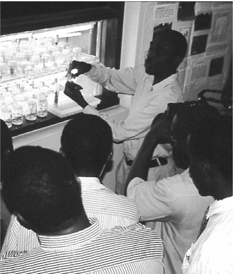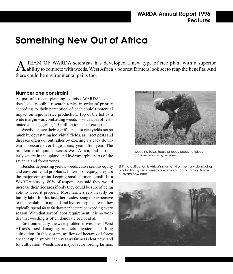# **Something New Out of Africa**

ATEAM OF WARDA scientists has developed a new type of rice plant with a superior<br>ability to compete with weeds. West Africa's poorest farmers look set to reap the benefits. And there could be environmental gains too.

#### **Number one constraint**

As part of a recent planning exercise, WARDA's scientists listed possible research topics in order of priority according to their perception of each topic's potential impact on regional rice production. Top of the list by a wide margin was combatting weeds —with a payoff estimated at a staggering 1.5 million tonnes of extra rice.

Weeds achieve their significance for rice yields not so much by devastating individual fields, as insect pests and diseases often do, but rather by exerting a steady downward pressure over huge areas, year after year. The problem is ubiquitous across West Africa, and particularly severe in the upland and hydromorphic parts of the savanna and forest zones.

Besides depressing yields, weeds cause serious equity and environmental problems. In terms of equity, they are the major constraint keeping small farmers small. In a WARDA survey, 80% of respondents said they would increase their rice area if only they could be sure of being able to weed it properly. Most farmers rely heavily on family labor for this task, herbicides being too expensive or not available. In upland and hydromorphic areas, they typically spend 40 to 60 days per hectare on weeding every season. With that sort of labor requirement, it is no wonder that weeding is often done late or not at all.

Environmentally, the weed problem drives one of West Africa's most damaging production systems—shifting cultivation. In this system, millions of hectares of forest are sent up in smoke each year as farmers clear new land for cultivation. Weeds are a major factor forcing farmers



Weeding takes hours of back-breaking labor, provided mostly by women

Shifting cultivation is Africa's most environmentally damaging production system. Weeds are a major factor forcing farmers to cultivate new land

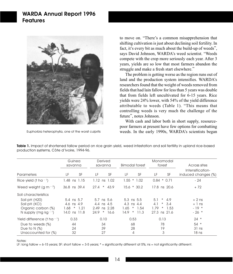

Euphorbia heterophylla, one of the worst culprits

to move on. "There's a common misapprehension that shifting cultivation is just about declining soil fertility. In fact, it's every bit as much about the build-up of weeds", says David Johnson, WARDA's weed scientist. "Weeds compete with the crop more seriously each year. After 3 years, yields are so low that most farmers abandon the struggle and make a fresh start elsewhere."

The problem is getting worse as the region runs out of land and the production system intensifies. WARDA's researchers found that the weight of weeds removed from fields that had lain fallow for less than 5 years was double that from fields left uncultivated for 6-15 years. Rice yields were 24% lower, with 54% of the yield difference attributable to weeds (Table 1). "This means that controlling weeds is very much the challenge of the future", notes Johnson.

With cash and labor both in short supply, resourcepoor farmers at present have few options for combatting weeds. In the early 1990s, WARDA's scientists began

|                                                                                   | Guinea<br>savanna                                                   | Derived<br>savanna                                        | Bimodal forest                                                          | Monomodal<br>forest                                                     | Across sites                            |
|-----------------------------------------------------------------------------------|---------------------------------------------------------------------|-----------------------------------------------------------|-------------------------------------------------------------------------|-------------------------------------------------------------------------|-----------------------------------------|
| Parameters                                                                        | <b>SF</b><br>LF                                                     | <b>SF</b><br>LF                                           | <b>SF</b><br>LF                                                         | <b>SF</b><br>LF                                                         | Intensification-<br>induced changes (%) |
| Rice yield $(1 \text{ ha}^{-1})$                                                  | 1.48 ns 1.15                                                        | $1.12$ ns $1.02$                                          | $1.55 * 1.02$                                                           | $0.84 * 0.71$                                                           | $-24$                                   |
| Weed weight (g m $-2$ )                                                           | 36.8 ns 39.4                                                        | 43.9<br>27.4<br>$\star$                                   | $15.6 * 30.2$                                                           | 17.8 ns 20.6                                                            | $+72$                                   |
| Soil characteristics                                                              |                                                                     |                                                           |                                                                         |                                                                         |                                         |
| Soil pH (H20)<br>Soil pH (KCI)<br>Organic carbon (%)<br>N supply (mg kg $^{-1}$ ) | 5.4 ns 5.7<br>4.6 ns 4.9<br>1.21<br>1.68<br>$\star$<br>14.0 ns 11.8 | 5.7 ns 5.6<br>4.4 ns 4.5<br>2.49 ns 2.28<br>$24.9 * 16.6$ | 5.3 ns 5.5<br>4.3 ns 4.4<br>1.65<br>$*$ 1.54<br>14.9<br>$\star$<br>11.3 | $5.1 * 4.9$<br>$*3.4$<br>4.1<br>1.79<br>$\star$<br>1.53<br>27.3 ns 21.6 | $+2$ ns<br>$+1$ ns<br>$-19*$<br>$-26$ * |
| Yield difference ( $\frac{1}{1}$ ha $\frac{1}{1}$ )                               | 0.33                                                                | 0.10                                                      | 0.53                                                                    | 0.13                                                                    | $24 *$                                  |
| Due to weeds (%)                                                                  | 44                                                                  | 34                                                        | 68                                                                      | 78                                                                      | $54 *$                                  |
| Due to $N$ $(\%)$<br>Unaccounted for (%)                                          | 24<br>32                                                            | 39<br>27                                                  | 28<br>4                                                                 | 19<br>3                                                                 | $31$ ns<br>18 <sub>ns</sub>             |

**Table 1.** Impact of shortened fallow period on rice grain yield, weed infestation and soil fertility in upland rice-based production systems, Côte d'Ivoire, 1994-96.

#### Notes:

LF: long fallow = 6-15 years; SF: short fallow = 3-5 years;  $*$  = significantly different at 5%; ns = not significantly different.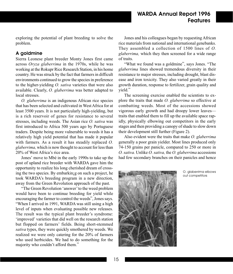exploring the potential of plant breeding to solve the problem.

#### **A goldmine**

Sierra Leonese plant breeder Monty Jones first came across *Oryza glaberrima* in the 1970s, while he was working at the Rokupr Rice Research Station, in his home country. He was struck by the fact that farmers in difficult environments continued to grow the species in preference to the higher-yielding *O. sativa* varieties that were also available. Clearly, *O. glaberrima* was better adapted to local stresses.

*O. glaberrima* is an indigenous African rice species that has been selected and cultivated in West Africa for at least 3500 years. It is not particularly high-yielding, but is a rich reservoir of genes for resistance to several stresses, including weeds. The Asian rice *O. sativa* was first introduced to Africa 500 years ago by Portuguese traders. Despite being more vulnerable to weeds it has a relatively high yield potential that has made it popular with farmers. As a result it has steadily replaced *O. glaberrima,* which is now thought to account for less than 20% of West Africa's rice area.

Jones' move to Mbé in the early 1990s to take up the post of upland rice breeder with WARDA gave him the opportunity to realize his long cherished dream of crossing the two species. By embarkin¡g on such a project, he took WARDA's breeding program in a new direction, away from the Green Revolution approach of the past.

"The Green Revolution 'answer' to the weed problem would have been to continue breeding for yield while encouraging the farmer to control the weeds", Jones says. "When I arrived in 1991, WARDA was still using a high level of inputs when evaluating possible new releases. The result was the typical plant breeder's syndrome: 'improved' varieties that did well on the research station but flopped on farmers' fields. Being short-stemmed *sativa* types, they were quickly smothered by weeds. We realized we were only catering for the 20% of farmers who used herbicides. We had to do something for the majority who couldn't afford them."

Jones and his colleagues began by requesting African rice materials from national and international genebanks. They assembled a collection of 1500 lines of *O. glaberrima,* which they then screened for a wide range of traits.

"What we found was a goldmine", says Jones. "The *glaberrima* lines showed tremendous diversity in their resistance to major stresses, including drought, blast disease and iron toxicity. They also varied greatly in their growth duration, response to fertilizer, grain quality and yield."

The screening exercise enabled the scientists to explore the traits that made *O. glaberrima* so effective at combatting weeds. Most of the accessions showed vigorous early growth and had droopy lower leaves traits that enabled them to fill up the available space rapidly, physically elbowing out competitors in the early stages and then providing a canopy of shade to slow down their development still further (Figure 2).

Also evident were the traits that make *O. glaberrima* generally a poor grain yielder. Most lines produced only 74-150 grains per panicle, compared to 250 or more in *O. sativa.* Unlike *O. sativa,* the *O. glaberrima* accessions had few secondary branches on their panicles and hence



O. glaberrima elbows out competitors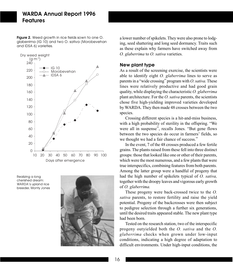**Figure 2.** Weed growth in rice fields sown to one O. glaberrima (IG 10) and two O. sativa (Morobevehan and IDSA 6) varieties.



Realizing a long cherished dream: WARDA's upland rice breeder, Monty Jones



a lower number of spikelets. They were also prone to lodging, seed shattering and long seed dormancy. Traits such as these explain why farmers have switched away from *O. glaberrima* to *O. sativa* varieties.

#### **New plant type**

As a result of the screening exercise, the scientists were able to identify eight *O. glaberrima* lines to serve as parents in a "wide crossing" program with *O. sativa.* These lines were relatively productive and had good grain quality, while displaying the characteristic *O. glaberrima* plant architecture. For the *O. sativa* parents, the scientists chose five high-yielding improved varieties developed by WARDA. They then made 48 crosses between the two species.

Crossing different species is a hit-and-miss business, with a high probability of sterility in the offspring. "We were all in suspense", recalls Jones. "But gene flows between the two species do occur in farmers' fields, so we thought we had a fair chance of success."

In the event, 7 of the 48 crosses produced a few fertile grains. The plants raised from these fell into three distinct groups: those that looked like one or other of their parents, which were the most numerous, and a few plants that were true interspecifics, combining features from both parents. Among the latter group were a handful of progeny that had the high number of spikelets typical of *O. sativa,* together with the droopy leaves and vigorous early growth of *O. glaberrima.*

These progeny were back-crossed twice to the *O. sativa* parents, to restore fertility and raise the yield potential. Progeny of the backcrosses were then subject to pedigree selection through a further six generations, until the desired traits appeared stable. The new plant type had been born.

Tested on the research station, two of the interspecific progeny outyielded both the *O. sativa* and the *O. glaberrima* checks when grown under low-input conditions, indicating a high degree of adaptation to difficult environments. Under high-input conditions, the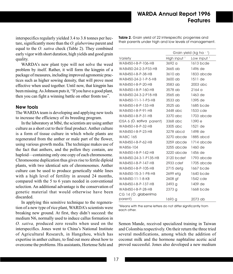interspecifics regularly yielded 3.4 to 3.8 tonnes per hectare, significantly more than the *O. glaberrima* parent and equal to the *O. sativa* check (Table 2). They combined early vigor with short duration, high yields and good grain quality.

WARDA's new plant type will not solve the weed problem by itself. Rather, it will form the kingpin of a package of measures, including improved agronomic practices such as higher sowing density, that will prove most effective when used together. Until now, that kingpin has been missing. As Johnson puts it, "If you have a good plant, then you can fight a winning battle on other fronts too".

#### **New tools**

The WARDA team is developing and applying new tools to increase the efficiency of its breeding program.

In the laboratory at Mbé, the scientists are using anther culture as a short cut to their final product. Anther culture is a form of tissue culture in which whole plants are regenerated from the anther or male part of the flower, using various growth media. The technique makes use of the fact that anthers, and the pollen they contain, are haploid—containing only one copy of each chromosome. Chromosome duplication thus gives rise to fertile diploid plants, with two identical sets of chromosomes. Anther culture can be used to produce genetically stable lines with a high level of fertility in around 24 months, compared with the 5 to 6 years needed in conventional selection. An additional advantage is the conservation of genetic material that would otherwise have been discarded.

In applying this sensitive technique to the regeneration of a new type of rice plant, WARDA's scientists were breaking new ground. At first, they didn't succeed: the medium N6, normally used to induce callus formation in *O. sativa,* produced zero results when used on the interspecifics. Jones went to China's National Institute of Agricultural Research, in Hangzhou, which has expertise in anther culture, to find out more about how to overcome the problems. His assistants, Hortense Sehi and **Table 2.** Grain yield of 22 interspecific progenies and their parents under high and low levels of management.

|                           |                         | Grain yield (kg ha $^{-1}$ ) |
|---------------------------|-------------------------|------------------------------|
| Variety                   | High input <sup>1</sup> | Low input $1$                |
| WAB450-I-B-P-106-HB       | 3692 a                  | 1613 bcde                    |
| WAB450-24-2-3-P33-HB      | 3665 ab                 | 1496 de                      |
| WAB450-I-B-P-38-HB        | 3610 ab                 | 1833 abcde                   |
| WAB450-24-2-1-P-5-HB      | 3600 ab                 | 1511 de                      |
| WAB450-I-B-P-20-HB        | 3583 ab                 | 2003 abc                     |
| WAB450-I-B-P-160-HB       | 3578 ab                 | $2164 \text{ a}$             |
| WAB450-24-3-2-P18-HB      | 3565 ab                 | 1463 de                      |
| WAB450-11-1-1-P3-HB       | 3533 ab                 | 1395 de                      |
| WAB450-I-B-P-133-HB       | 3525 ab                 | 1685 bcde                    |
| WAB450-I-B-P-91-HB        | 3448 abc                | 1533 cde                     |
| WAB450-I-B-P-31-HB        | 3370 abc                | 1703 abcde                   |
| IDSA 6 (O. sativa parent) | 3368 abc                | 1390 e                       |
| WAB450-I-B-P-32-HB        | 3305 abc                | 1521 de                      |
| WAB450-I-B-P-23-HB        | 3278 abcd               | 1498 de                      |
| <b>WABC 165</b>           | 3270 abcde              | 1885 abcd                    |
| WAB450-I-B-P-62-HB        | 3259 abcde              | 1714 abcde                   |
| WAB56-104                 | 3255 abcde              | 1460 de                      |
| WAB450-I-B-P-142-HB       | 3220 abcde              | 1456 de                      |
| WAB450-24-3-1-P135-HB     | 3120 bcdef              | 1793 abcde                   |
| WAB450-I-B-P-147-HB       | 2933 cdef               | 1705 abcde                   |
| WAB450-I-B-P-105-HB       | 2715 defg               | 1667 bcde                    |
| WAB450-15-3-1-P8-HB       | 2699 efg                | 1640 bcde                    |
| WAB450-11-1-8-KB          | 2608 gf                 | 1542 cde                     |
| WAB450-I-B-P-137-HB       | 2493 a                  | 1409 de                      |
| WAB450-I-B-P-28-HB        | 2373 g                  | 1668 bcde                    |
| CG 14 (O. glaberrima      |                         |                              |
| parent)                   | 1693 g                  | 2073 ab                      |

1 Means with the same letters do not differ significantly from each other.

Semon Mande, received specialized training in Taiwan and Colombia respectively. On their return the three tried several modifications, among which the addition of coconut milk and the hormone naphtaline acetic acid proved successful. Jones also developed a new medium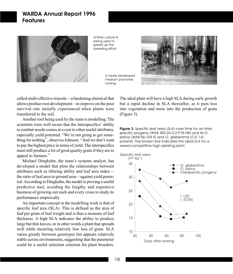

Anther culture is being used to speed up the breeding effort





called multi-effective triazole—a hardening chemical that allows profuse root development—to improve on the poor survival rate initially experienced when plants were transferred to the soil.

Another tool being used by the team is modelling. The scientists were well aware that the interspecifics' ability to combat weeds comes at a cost to other useful attributes, especially yield potential. "We're not going to get something for nothing", observes Johnson. "And we don't want to pay the highest price in terms of yield. The interspecifics must still produce a lot of good quality grain if they are to appeal to farmers."

Michael Dingkuhn, the team's systems analyst, has developed a model that plots the relationships between attributes such as tillering ability and leaf area index the ratio of leaf area to ground area—against yield potential. According to Dingkuhn, the model is proving a useful predictive tool, avoiding the lengthy and expensive business of growing out each and every cross to study its performance empirically.

An important concept in the modelling work is that of specific leaf area (SLA). This is defined as the area of leaf per gram of leaf weight and is thus a measure of leaf thickness. A high SLA indicates the ability to produce large but thin leaves, or in other words a plant that spreads well while incurring relatively low loss of grain. SLA varies greatly between genotypes but appears relatively stable across environments, suggesting that the parameter could be a useful selection criterion for plant breeders.

The ideal plant will have a high SLA during early growth but a rapid decline in SLA thereafter, as it puts less into vegetation and more into the production of grain (Figure 3).

**Figure 3.** Specific leaf area (SLA) over time for an interspecific progeny (WAB 450-24-3-2-P18-HB) and its O. sativa (WAB 56-104 5) and O. glaberrima (CG 14) parents. The broken line indicates the ideal SLA for a weed-competitive high-yielding plant.

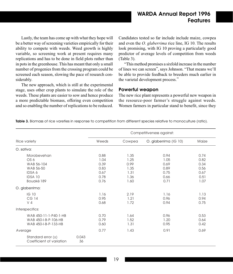Lastly, the team has come up with what they hope will be a better way of screening varieties empirically for their ability to compete with weeds. Weed growth is highly variable, so screening work at present requires many replications and has to be done in field plots rather than in pots in the greenhouse. This has meant that only a small number of progenies from the crossing program could be screened each season, slowing the pace of research considerably.

The new approach, which is still at the experimental stage, uses other crop plants to simulate the role of the weeds. These plants are easier to sow and hence produce a more predictable biomass, offering even competition and so enabling the number of replications to be reduced. Candidates tested so far include include maize, cowpea and even the *O. glaberrima* rice line, IG 10. The results look promising, with IG 10 proving a particularly good predictor of average levels of competition from weeds (Table 3).

"This method promises a sixfold increase in the number of lines we can screen", says Johnson. "That means we'll be able to provide feedback to breeders much earlier in the varietal development process."

#### **Powerful weapon**

The new rice plant represents a powerful new weapon in the resource-poor farmer's struggle against weeds. Women farmers in particular stand to benefit, since they

**Table 3.** Biomass of rice vareties in response to competition from different species relative to monoculture (ratio).

|                                                                                   |                                                      | Competitiveness against:                             |                                                      |                                                      |  |
|-----------------------------------------------------------------------------------|------------------------------------------------------|------------------------------------------------------|------------------------------------------------------|------------------------------------------------------|--|
| <b>Rice variety</b>                                                               | Weeds                                                | Cowpea                                               | O. glaberrima (IG 10)                                | Maize                                                |  |
| O. sativa:                                                                        |                                                      |                                                      |                                                      |                                                      |  |
| Morobevehan<br>OS 6<br>WAB 56-104<br>WAB 56-50<br>IDSA 6<br>IDSA 10<br>Bouaké 189 | 0.88<br>1.04<br>0.39<br>0.83<br>0.67<br>0.78<br>0.76 | 1.35<br>1.25<br>0.99<br>1.35<br>1.31<br>1.36<br>1.60 | 0.94<br>1.05<br>0.69<br>0.89<br>0.75<br>0.66<br>0.71 | 0.74<br>0.82<br>0.34<br>0.56<br>0.67<br>0.51<br>1.07 |  |
| O. glaberrima:                                                                    |                                                      |                                                      |                                                      |                                                      |  |
| IG 10<br><b>CG 14</b><br>$V_4$                                                    | 1.16<br>0.95<br>0.68                                 | 2.19<br>1.21<br>1.72                                 | 1.16<br>0.96<br>0.94                                 | 1.13<br>0.94<br>0.75                                 |  |
| Interspecifics:                                                                   |                                                      |                                                      |                                                      |                                                      |  |
| WAB 450-11-1-P40-1-HB<br>WAB 450-I-B-P-106-HB<br>WAB 450-I-B-P-133-HB             | 0.70<br>0.79<br>0.60                                 | 1.64<br>1.52<br>1.31                                 | 0.96<br>1.20<br>0.95                                 | 0.53<br>0.64<br>0.42                                 |  |
| Average                                                                           | 0.77                                                 | 1.43                                                 | 0.91                                                 | 0.69                                                 |  |
| Standard error $(\pm)$<br>0.043<br>Coefficient of variation<br>36                 |                                                      |                                                      |                                                      |                                                      |  |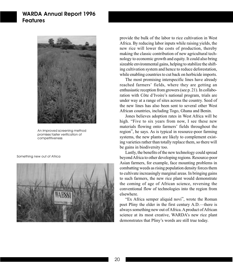

An improved screening method promises faster verification of competitiveness

Something new out of Africa



provide the bulk of the labor to rice cultivation in West Africa. By reducing labor inputs while raising yields, the new rice will lower the costs of production, thereby making the classic contribution of new agricultural technology to economic growth and equity. It could also bring sizeable environmental gains, helping to stabilize the shifting cultivation system and hence to reduce deforestation, while enabling countries to cut back on herbicide imports.

The most promising interspecific lines have already reached farmers' fields, where they are getting an enthusiastic reception from growers (see p. 21). In collaboration with Côte d'Ivoire's national program, trials are under way at a range of sites across the country. Seed of the new lines has also been sent to several other West African countries, including Togo, Ghana and Benin.

Jones believes adoption rates in West Africa will be high. "Five to six years from now, I see these new materials flowing onto farmers' fields throughout the region", he says. As is typical in resource-poor farming systems, the new plants are likely to complement existing varieties rather than totally replace them, so there will be gains in biodiversity too.

Lastly, the benefits of the new technology could spread beyond Africa to other developing regions. Resource-poor Asian farmers, for example, face mounting problems in combatting weeds as rising population density forces them to cultivate increasingly marginal areas. In bringing gains to such farmers, the new rice plant would demonstrate the coming of age of African science, reversing the conventional flow of technologies into the region from elsewhere.

"Ex Africa semper aliquid novi", wrote the Roman poet Pliny the elder in the first century A.D.—there is always something new out of Africa. A product of African science at its most creative, WARDA's new rice plant demonstrates that Pliny's words are still true today.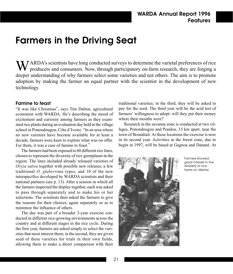# **Farmers in the Driving Seat**

MVARDA's scientists have long conducted surveys to determine the varietal preferences of rice producers and consumers. Now, through participatory on-farm research, they are forging a deeper understanding of why farmers select some varieties and not others. The aim is to promote adoption by making the farmer an equal partner with the scientist in the development of new technology.

#### **Famine to feast**

"It was like Christmas", says Tim Dalton, agricultural economist with WARDA. He's describing the mood of excitement and curiosity among farmers as they examined rice plants during an evaluation day held at the village school in Ponondougou, Côte d'Ivoire. "In an area where no new varieties have become available for at least a decade, farmers were keen to explore what was on offer. For them, it was a case of famine to feast."

The farmers had been exposed to 60 different rice lines, chosen to represent the diversity of rice germplasm in the region. The lines included already released varieties of *Oryza sativa* together with possible new releases, a few traditional *O. glaberrima* types, and 10 of the new interspecifics developed by WARDA scientists and their national partners (see p. 13). After a session in which all the farmers inspected the display together, each was asked to pass through separately and to make his or her selections. The scientists then asked the farmers to give the reasons for their choices, again separately so as to minimize the influence of others.

The day was part of a broader 3-year exercise conducted in different rice-growing environments across the country and at different stages in the rice cycle. During the first year, farmers are asked simply to select the varieties that most interest them; in the second, they are given seed of these varieties for trials in their own fields, allowing them to make a direct comparison with their traditional varieties; in the third, they will be asked to pay for the seed. The third year will be the acid test of farmers' willingness to adopt: will they put their money where their mouths were?

Research in the savanna zone is conducted at two villages, Ponondougou and Pondou, 15 km apart, near the town of Boundiali. At these locations the exercise is now in its second year. Activities in the forest zone, due to begin in 1997, will be based at Gagnoa and Danané. At



Farmers showed great interest in the diversity of rice types on display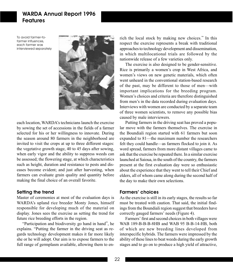To avoid farmer-tofarmer influences, each farmer was interviewed separately



each location, WARDA's technicians launch the exercise by sowing the set of accessions in the fields of a farmer selected for his or her willingness to innovate. During the season around 80 farmers in the neighborhood are invited to visit the crops at up to three different stages: the vegetative growth stage, 40 to 45 days after sowing, when early vigor and the ability to suppress weeds can be assessed; the flowering stage, at which characteristics such as height, duration and resistance to pests and diseases become evident; and just after harvesting, when farmers can evaluate grain quality and quantity before making the final choice of an overall favorite.

#### **Setting the trend**

Master of ceremonies at most of the evaluation days is WARDA's upland rice breeder Monty Jones, himself responsible for developing much of the material on display. Jones sees the exercise as setting the trend for future rice breeding efforts in the region.

"Participation and biodiversity go hand in hand", he explains. "Putting the farmer in the driving seat as regards technology development makes it far more likely she or he will adopt. Our aim is to expose farmers to the full range of germplasm available, allowing them to en-

rich the local stock by making new choices." In this respect the exercise represents a break with traditional approaches to technology development and dissemination, in which multilocational trials are followed by the nationwide release of a few varieties only.

The exercise is also designed to be gender-sensitive. Rice is primarily a women's crop in West Africa, and women's views on new genetic materials, which often went unheard in the conventional station-based research of the past, may be different to those of men—with important implications for the breeding program. Women's choices and criteria are therefore distinguished from men's in the data recorded during evaluation days. Interviews with women are conducted by a separate team of three women scientists, to remove any possible bias caused by male interviewers.

Putting farmers in the driving seat has proved a popular move with the farmers themselves. The exercise in the Boundiali region started with 61 farmers but soon expanded to 81—the maximum number the researchers felt they could handle—as farmers flocked to join it. As word spread, farmers from more distant villages came to ask that the exercise be repeated there. In a similar exercise launched at Saioua, in the south of the country, the farmers present at the first evaluation day were so enthusiastic about the experience that they went to tell their Chief and elders, all of whom came along during the second half of the day to make their own selections.

#### **Farmers' choices**

As the exercise is still in its early stages, the results so far must be treated with caution. That said, the initial findings from the Boundiali region suggest that breeders have correctly gauged farmers' needs (Figure 4).

Farmers' first and second choices in both villages were WAB 189-B-B-B-8HB and WAB 95 B-B-14-HB, both of which are new breeding lines developed from interspecific hybrids. The farmers were impressed by the ability of these lines to beat weeds during the early growth stages and to go on to produce a high yield of attractive,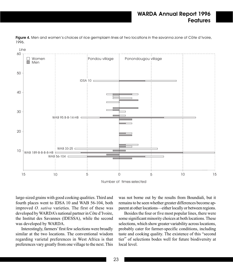

Figure 4. Men and women's choices of rice germplasm lines at two locations in the savanna zone of Côte d'Ivoire, 1996.

Number of times selected

large-sized grains with good cooking qualities. Third and fourth places went to IDSA 10 and WAB 56-104, both improved *O. sativa* varieties. The first of these was developed by WARDA's national partner in Côte d'Ivoire, the Institut des Savannes (IDESSA), while the second was developed by WARDA.

Interestingly, farmers' first few selections were broadly similar at the two locations. The conventional wisdom regarding varietal preferences in West Africa is that preferences vary greatly from one village to the next. This was not borne out by the results from Boundiali, but it remains to be seen whether greater differences become apparent at other locations—either locally or between regions.

Besides the four or five most popular lines, there were some significant minority choices at both locations. These selections, which show greater variability across locations, probably cater for farmer-specific conditions, including taste and cooking quality. The existence of this "second tier" of selections bodes well for future biodiversity at local level.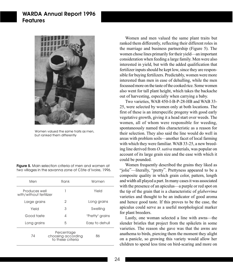

Women valued the same traits as men. but ranked them differently

**Figure 5.** Main selection criteria of men and women at two villages in the savanna zone of Côte d'Ivoire, 1996.

| Men                                      | Rank                                                  | Women           |
|------------------------------------------|-------------------------------------------------------|-----------------|
| Produces well<br>with/without fertilizer | 1                                                     | Yield           |
| Large grains                             | 2                                                     | Long grains     |
| Yield                                    | 3                                                     | Swelling        |
| Good taste                               | 4                                                     | "Pretty" arains |
| Long grains                              | 5                                                     | Easy to dehull  |
| 74                                       | Percentage<br>choosing according<br>to these criteria | 86              |

Women and men valued the same plant traits but ranked them differently, reflecting their different roles in the marriage and business partnership (Figure 5). The women chose lines primarily for their yield—an important consideration when feeding a large family. Men were also interested in yield, but with the added qualification that fertilizer inputs should be kept low, since they are responsible for buying fertilizers. Predictably, women were more interested than men in ease of dehulling, while the men focussed more on the taste of the cooked rice. Some women also went for tall plant height, which takes the backache out of harvesting, especially when carrying a baby.

Two varieties, WAB 450-I-B-P-28-HB and WAB 33- 25, were selected by women only at both locations. The first of these is an interspecific progeny with good early vegetative growth, giving it a head start over weeds. The women, all of whom were responsible for weeding, spontaneously named this characteristic as a reason for their selection. They also said the line would do well in areas with problem soils—another facet of local farming with which they were familiar. WAB 33-25, a new breeding line derived from *O. sativa* materials, was popular on account of its large grain size and the ease with which it could be pounded.

Women frequently described the grains they liked as "jolie"—literally, "pretty". Prettyness appeared to be a composite quality in which grain color, pattern, length and width all played a part. In many cases it was associated with the presence of an apiculus—a purple or red spot on the tip of the grain that is a characteristic of *glaberrima* varieties and thought to be an indicator of good aroma and hence good taste. If this proves to be the case, the apiculus could serve as a useful morphological marker for plant breeders.

Lastly, one woman selected a line with awns—the slender bristles that project from the spikelets in some varieties. The reason she gave was that the awns are anathema to birds, piercing them the moment they alight on a panicle, so growing this variety would allow her children to spend less time on bird-scaring and more on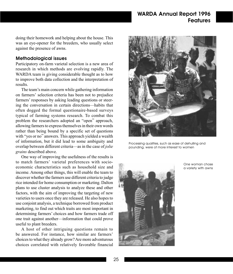doing their homework and helping about the house. This was an eye-opener for the breeders, who usually select against the presence of awns.

#### **Methodological issues**

Participatory on-farm varietal selection is a new area of research in which methods are evolving rapidly. The WARDA team is giving considerable thought as to how to improve both data collection and the interpretation of results.

The team's main concern while gathering information on farmers' selection criteria has been not to prejudice farmers' responses by asking leading questions or steering the conversation in certain directions—habits that often dogged the formal questionaire-based surveys typical of farming systems research. To combat this problem the researchers adopted an "open" approach, allowing farmers to express themselves in their own words rather than being bound by a specific set of questions with "yes or no" answers. This approach yielded a wealth of information, but it did lead to some ambiguity and overlap between different criteria—as in the case of *jolie grains* described above.

One way of improving the usefulness of the results is to match farmers' varietal preferences with socioeconomic characteristics such as household size and income. Among other things, this will enable the team to discover whether the farmers use different criteria to judge rice intended for home consumption or marketing. Dalton plans to use cluster analysis to analyze these and other factors, with the aim of improving the targeting of new varieties to users once they are released. He also hopes to use conjoint analysis, a technique borrowed from product marketing, to find out which traits are most important in determining farmers' choices and how farmers trade off one trait against another—information that could prove useful to plant breeders.

A host of other intriguing questions remain to be answered. For instance, how similar are farmers' choices to what they already grow? Are more adventurous choices correlated with relatively favorable financial



Processing qualities, such as ease of dehulling and pounding, were of more interest to women



One woman chose a variety with awns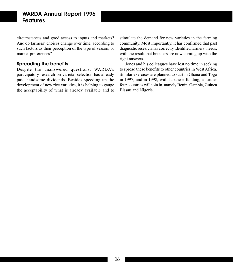circumstances and good access to inputs and markets? And do farmers' choices change over time, according to such factors as their perception of the type of season, or market preferences?

#### **Spreading the benefits**

Despite the unanswered questions, WARDA's participatory research on varietal selection has already paid handsome dividends. Besides speeding up the development of new rice varieties, it is helping to gauge the acceptability of what is already available and to

stimulate the demand for new varieties in the farming community. Most importantly, it has confirmed that past diagnostic research has correctly identified farmers' needs, with the result that breeders are now coming up with the right answers.

Jones and his colleagues have lost no time in seeking to spread these benefits to other countries in West Africa. Similar exercises are planned to start in Ghana and Togo in 1997; and in 1998, with Japanese funding, a further four countries will join in, namely Benin, Gambia, Guinea Bissau and Nigeria.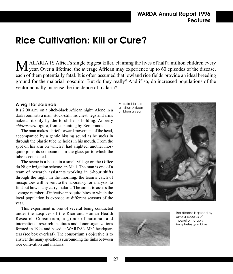# **Rice Cultivation: Kill or Cure?**

MALARIA IS Africa's single biggest killer, claiming the lives of half a million children every<br>year. Over a lifetime, the average African may experience up to 60 episodes of the disease, each of them potentially fatal. It is often assumed that lowland rice fields provide an ideal breeding ground for the malarial mosquito. But do they really? And if so, do increased populations of the vector actually increase the incidence of malaria?

### **A vigil for science**

It's 2.00 a.m. on a pitch-black African night. Alone in a dark room sits a man, stock-still, his chest, legs and arms naked, lit only by the torch he is holding. An eery *chiaroscuro* figure, from a painting by Rembrandt.

The man makes a brief forward movement of the head, accompanied by a gentle hissing sound as he sucks in through the plastic tube he holds in his mouth. From the spot on his arm on which it had alighted, another mosquito joins its companions in the glass jar to which the tube is connected.

The scene is a house in a small village on the Office du Niger irrigation scheme, in Mali. The man is one of a team of research assistants working in 6-hour shifts through the night. In the morning, the team's catch of mosquitoes will be sent to the laboratory for analysis, to find out how many carry malaria. The aim is to assess the average number of infective mosquito bites to which the local population is exposed at different seasons of the year.

This experiment is one of several being conducted under the auspices of the Rice and Human Health Research Consortium, a group of national and international research institutes and donor organizations formed in 1994 and based at WARDA's Mbé headquarters (see box overleaf). The consortium's objective is to answer the many questions surrounding the links between rice cultivation and malaria.

Malaria kills half a million African children a year





The disease is spread by several species of mosquito, notably Anopheles gambiae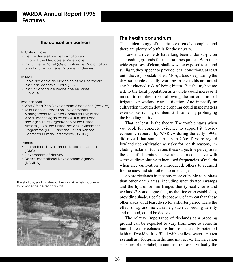#### **The consortium partners**

In Côte d'Ivoire:

- Centre Universitaire de Formation en Entomologie Médicale et Vétérinaire
- Institut Pierre Richet (Organisation de Coordination pour la Lutte contre les Grandes Endemies)

In Mali:

- Ecole Nationale de Médecine et de Pharmacie
- Institut d'Economie Rurale (IER)
- Institut National de Recherche en Santé **Publique**

International:

- West Africa Rice Development Association (WARDA)
- Joint Panel of Experts on Environmental Management for Vector Control (PEEM) of the World Health Organization (WHO), the Food and Agriculture Organization of the United Nations (FAO), the United Nations Environment Programme (UNEP) and the United Nations Center for Human Settlements (UNCHS)

Donors:

- International Development Research Centre (IDRC)
- Government of Norway
- Danish International Development Agency (DANIDA)

The shallow, sunlit waters of lowland rice fields appear to provide the perfect habitat



#### **The health conundrum**

The epidemiology of malaria is extremely complex, and there are plenty of pitfalls for the unwary.

Lowland rice fields have long been under suspicion as breeding grounds for malarial mosquitoes. With their wide expanses of clean, shallow water exposed to air and sunlight, they appear to provide ideal conditions, at least until the crop is established. Mosquitoes sleep during the day, so people actually working in the fields are not at any heightened risk of being bitten. But the night-time risk to the local population as a whole could increase if mosquito numbers rise following the introduction of irrigated or wetland rice cultivation. And intensifying cultivation through double cropping could make matters even worse, raising numbers still further by prolonging the breeding period.

That, at least, is the theory. The trouble starts when you look for concrete evidence to support it. Socioeconomic research by WARDA during the early 1990s did reveal that some farmers in Côte d'Ivoire regard lowland rice cultivation as risky for health reasons, including malaria. But beyond these subjective perceptions the scientific literature on the subject is inconclusive, with some studies pointing to increased frequencies of malaria when rice cultivation is introduced, others to reduced frequencies and still others to no change.

So are ricelands in fact any more culpable as habitats than other damp areas, including uncultivated swamps and the hydromorphic fringes that typically surround wetlands? Some argue that, as the rice crop establishes, providing shade, rice fields pose *less* of a threat than these other areas, or at least do so for a shorter period. Here the effect of agronomic variables, such as seeding density and method, could be decisive.

The relative importance of ricelands as a breeding ground can be expected to vary from zone to zone. In humid areas, ricelands are far from the only potential habitat. Provided it is filled with shallow water, an area as small as a footprint in the mud may serve. The irrigation schemes of the Sahel, in contrast, represent virtually the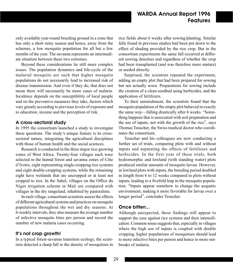only available year-round breeding ground in a zone that has only a short rainy season and hence, away from the schemes, a low mosquito population for all but a few months of the year. The savanna represents an intermediate situation between these two extremes.

Beyond these considerations lie still more complex issues. The population dynamics and life-cycle of the malarial mosquito are such that higher mosquito populations do not necessarily lead to increased risk of disease transmission. And even if they do, that does not mean there will necessarily be more cases of malaria. Incidence depends on the susceptibility of local people and on the preventive measures they take, factors which vary greatly according to previous levels of exposure and to education, income and the perception of risk.

#### **A cross-sectoral study**

In 1995 the consortium launched a study to investigate these questions. The study's unique feature is its crosssectoral nature, integrating the agricultural disciplines with those of human health and the social sciences.

Research is conducted in the three major rice-growing zones of West Africa. Twenty-four villages each were selected in the humid forest and savanna zones of Côte d'Ivoire, eight representing single-cropping rice systems and eight double-cropping systems, while the remaining eight have wetlands that are uncropped or at least not cropped to rice. In the Sahel, villages on the Office du Niger irrigation scheme in Mali are compared with villages in the dry rangeland, inhabited by pastoralists.

In each village, consortium scientists assess the effects of different agricultural systems and practices on mosquito populations throughout the wet and dry seasons. At 6-weekly intervals, they also measure the average number of infective mosquito bites per person and record the number of new malaria cases occurring.

#### **It's not crop growth!**

In a typical forest-savanna transition ecology, the scientists detected a sharp fall in the density of mosquitoes in rice fields about 6 weeks after sowing/planting. Similar falls found in previous studies had been put down to the effect of shading provided by the rice crop. But in the consortium experiments the same fall occurred at different sowing densities and regardless of whether the crop had been transplanted (and was therefore more mature) or seeded directly.

Surprised, the scientists repeated the experiment, adding an empty plot that had been prepared for sowing but not actually sown. Preparations for sowing include the creation of a clean seedbed using herbicides, and the application of fertilizers.

To their astonishment, the scientists found that the mosquito population of the empty plot behaved in exactly the same way—falling drastically after 6 weeks. "Something happens that is associated with soil preparation and the use of inputs, not with the growth of the rice", says Thomas Teuscher, the Swiss medical doctor who coordinates the consortium.

Teuscher and his colleagues are now conducting a further set of trials, comparing plots with and without inputs and separating the effects of fertilizers and herbicides. In the first year of these trials, both hydromorphic and lowland (with standing water) plots produced similar amounts of mosquito larvae. However, in lowland plots with inputs, the breeding period doubled in length from 6 to 12 weeks compared to plots without inputs, leading to a fivefold leap in the mosquito population. "Inputs appear somehow to change the acquatic environment, making it more favorable for larvae over a longer period", concludes Teuscher.

#### **Once bitten...**

Although unexpected, these findings still appear to support the case against rice systems and their intensification. Common sense suggests that, especially in villages where the high use of inputs is coupled with double cropping, higher populations of mosquitoes should lead to more infective bites per person and hence to more outbreaks of malaria.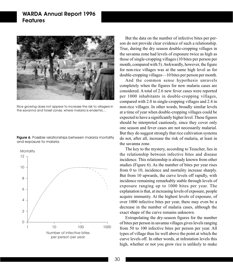

Rice growing does not appear to increase the risk to villagers in the savanna and forest zones, where malaria is endemic...

**Figure 6.** Possible relationships between malaria mortality and exposure to malaria.



But the data on the number of infective bites per person do not provide clear evidence of such a relationship. True, during the dry season double-cropping villages in the savanna zone had levels of exposure twice as high as those of single-cropping villages (10 bites per person per month, compared with 5). Awkwardly, however, the figure for non-rice villages was at the same high level as for double-cropping villages—10 bites per person per month.

And the common sense hypothesis unravels completely when the figures for new malaria cases are considered. A total of 2.6 new fever cases were reported per 1000 inhabitants in double-cropping villages, compared with 2.0 in single-cropping villages and 2.4 in non-rice villages. In other words, broadly similar levels at a time of year when double-cropping villages could be expected to have a significantly higher level. These figures should be interpreted cautiously, since they cover only one season and fever cases are not necessarily malarial. But they do suggest strongly that rice cultivation systems do not, after all, increase the risk of malaria, at least in the savanna zone.

The key to the mystery, according to Teuscher, lies in the relationship between infective bites and disease incidence. This relationship is already known from other studies (Figure 6). As the number of bites per year rises from 0 to 10, incidence and mortality increase sharply. But from 10 upwards, the curve levels off rapidly, with incidence remaining remarkably stable through levels of exposure ranging up to 1000 bites per year. The explanation is that, at increasing levels of exposure, people acquire immunity. At the highest levels of exposure, of over 1000 infective bites per year, there may even be a decrease in the number of malaria cases, although the exact shape of the curve remains unknown.

Extrapolating the dry-season figures for the number of bites per person in savanna villages gives levels ranging from 50 to 100 infective bites per person per year. All types of village thus lie well above the point at which the curve levels off. In other words, at infestation levels this high, whether or not you grow rice is unlikely to make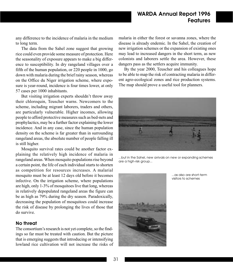any difference to the incidence of malaria in the medium to long term.

The data from the Sahel zone suggest that growing rice could even provide some measure of protection. Here the seasonality of exposure appears to make a big difference to susceptibility. In dry rangeland villages over a fifth of the human population, or 220 people in 1000, go down with malaria during the brief rainy season, whereas on the Office du Niger irrigation scheme, where exposure is year-round, incidence is four times lower, at only 57 cases per 1000 inhabitants.

But visiting irrigation experts shouldn't throw away their chloroquin, Teuscher warns. Newcomers to the scheme, including migrant laborers, traders and others, are particularly vulnerable. Higher incomes, allowing people to afford protective measures such as bed-nets and prophylactics, may be a further factor explaining the lower incidence. And in any case, since the human population density on the scheme is far greater than in surrounding rangeland areas, the absolute number of people falling ill is still higher.

Mosquito survival rates could be another factor explaining the relatively high incidence of malaria in rangeland areas. When mosquito populations rise beyond a certain point, the life of each individual starts to shorten as competition for resources increases. A malarial mosquito must be at least 12 days old before it becomes infective. On the irrigation scheme, where populations are high, only 1-3% of mosquitoes live that long, whereas in relatively depopulated rangeland areas the figure can be as high as 79% during the dry season. Paradoxically, decreasing the population of mosquitoes could increase the risk of disease by prolonging the lives of those that do survive.

#### **No threat**

The consortium's research is not yet complete, so the findings so far must be treated with caution. But the picture that is emerging suggests that introducing or intensifying lowland rice cultivation will not increase the risks of malaria in either the forest or savanna zones, where the disease is already endemic. In the Sahel, the creation of new irrigation schemes or the expansion of existing ones may lead to increased dangers in the short term, as new colonists and laborers settle the area. However, these dangers pass as the settlers acquire immunity.

By the year 2000, Teuscher and his colleagues hope to be able to map the risk of contracting malaria in different agro-ecological zones and rice production systems. The map should prove a useful tool for planners.



...but in the Sahel, new arrivals on new or expanding schemes are a high-risk group...



...as also are short-term visitors to schemes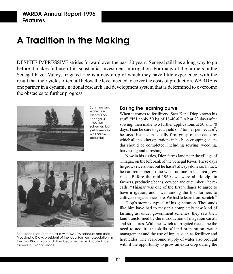# **A Tradition in the Making**

DESPITE IMPRESSIVE strides forward over the past 30 years, Senegal still has a long way to go before it makes full use of its substantial investment in irrigation. For many of the farmers in the Senegal River Valley, irrigated rice is a new crop of which they have little experience, with the result that their yields often fall below the level needed to cover the costs of production. WARDA is one partner in a dynamic national research and development system that is determined to overcome the obstacles to further progress.



Sunshine and water are plentiful on Senegal's irrigation schemes, but yields remain well below potential



Saer Kane Diop (center) talks with WARDA scientists and (left) Moustapha Diaw, president of the local farmers' association. In the mid-1960s, Diop and Diaw became the first irrigated rice farmers in Thiagar village

#### **Easing the learning curve**

When it comes to fertilizers, Saer Kane Diop knows his stuff. "If I apply 50 kg of 18-40-6 DAP at 23 days after sowing, then make two further applications at 50 and 70 days, I can be sure to get a yield of 7 tonnes per hectare", he says. He has an equally firm grasp of the dates by which all the other operations in his busy cropping calendar should be completed, including sowing, weeding, harvesting and threshing.

Now in his sixties, Diop farms land near the village of Thiagar, on the left bank of the Senegal River. These days he grows rice alone, but he hasn't always done so. In fact, he can remember a time when no one in his area grew rice. "Before the mid-1960s we were all floodplain farmers, producing beans, cowpea and cucumber", he recalls. "Thiagar was one of the first villages to agree to have irrigation, and I was among the first farmers to cultivate irrigated rice here. We had to learn from scratch."

Diop's story is typical of his generation. Thousands like him have had to master a completely new kind of farming as, under government schemes, they saw their land transformed by the introduction of irrigation canals and structures. With the switch to irrigated rice came the need to acquire the skills of land preparation, water management and the use of inputs such as fertilizer and herbicides. The year-round supply of water also brought with it the opportunity to grow an extra crop during the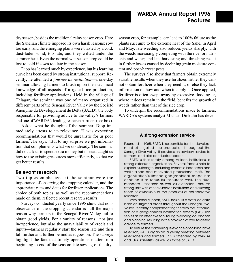dry season, besides the traditional rainy season crop. Here the Sahelian climate imposed its own harsh lessons: sow too early, and the emerging plants were blasted by a cold, dust-laden wind; too late, and they wilted under the summer heat. Even the normal wet-season crop could be lost to cold if sown too late in the season.

Diop has learned much by experience, but his learning curve has been eased by strong institutional support. Recently, he attended a *journée de restitution*—a one-day seminar allowing farmers to brush up on their technical knowledge of all aspects of irrigated rice production, including fertilizer applications. Held in the village of Thiagar, the seminar was one of many organized in different parts of the Senegal River Valley by the Société Anonyme du Développement du Delta (SAED), the body responsible for providing advice to the valley's farmers and one of WARDA's leading research partners (see box).

Asked what he thought of the seminar, Diop immediately attests to its relevance. "I was expecting recommendations that would be unrealistic for us poor farmers", he says. "But to my surprise we got information that complements what we do already. The seminar did not ask us to spend extra money but instead taught us how to use existing resources more efficiently, so that we get better results."

#### **Relevant research**

Two topics emphasized at the seminar were the importance of observing the cropping calendar, and the appropriate rates and dates for fertilizer applications. The choice of both topics, as well as the recommendations made on them, reflected recent research results.

Surveys conducted yearly since 1995 show that nonobservance of the cropping calendar is still the major reason why farmers in the Senegal River Valley fail to obtain good yields. For a variety of reasons—not just inexperience, but also the unavailability of credit and inputs—farmers regularly start the season late and then fall further and further behind as it goes on. The surveys highlight the fact that timely operations matter from beginning to end of the season: late sowing of the dryseason crop, for example, can lead to 100% failure as the plants succumb to the extreme heat of the Sahel in April and May; late weeding also reduces yields sharply, with the weeds increasingly competing with the rice for nutrients and water; and late harvesting and threshing result in further losses caused by declining grain moisture content and post-harvest pests.

The surveys also show that farmers obtain extremely variable results when they use fertilizer. Either they cannot obtain fertilizer when they need it, or else they lack information on how and when to apply it. Once applied, fertilizer is often swept away by excessive flooding or, where it does remain in the field, benefits the growth of weeds rather than that of the rice crop.

To underpin the recommendations made to farmers, WARDA's systems analyst Michael Dinkuhn has devel-

#### **A strong extension service**

Founded in 1965, SAED is responsible for the development of irrigated rice production throughout the Senegal River Valley. It provides an advisory service to farmers, and also conducts research.

SAED is that rarety among African institutions, a strong extension organization. Several factors help to explain its strength, including dynamic leadership and well trained and motivated professional staff. The organization's limited geographical scope has enabled it to focus its resources well. The dual mandate—research as well as extension—ensures strong links with other research institutions and a strong sense of ownership of the products of collaborative research.

With donor support, SAED has built a detailed data base on irrigated areas throughout the Senegal River Valley, recently complementing this with the introduction of a geographical information system (GIS). This serves as an effective tool for agro-ecological analysis and planning, resulting in the provision of well targeted advice to farmers.

To ensure the continuing relevance of collaborative research, SAED organizes a yearly meeting between researchers and farmers. This is attended by WARDA and ISRA scientists, as well as those of SAED.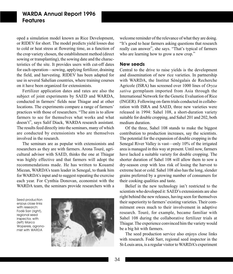oped a simulation model known as Rice Development, or RIDEV for short. The model predicts yield losses due to cold or heat stress at flowering time, as a function of the crop variety chosen, the establishment method (direct sowing or transplanting), the sowing date and the characteristics of the site. It provides users with cut-off dates for each operation—sowing, applying fertilizer, draining the field, and harvesting. RIDEV has been adapted for use in several Sahelian countries, where training courses on it have been organized for extensionists.

Fertilizer application dates and rates are also the subject of joint experiments by SAED and WARDA, conducted in farmers' fields near Thiagar and at other locations. The experiments compare a range of farmers' practices with those of researchers. "The aim is to allow farmers to see for themselves what works and what doesn't", says Salif Diack, WARDA research assistant. The results feed directly into the seminars, many of which are conducted by extensionists who are themselves involved in the research.

The seminars are as popular with extensionists and researchers as they are with farmers. Arona Touré, agricultural advisor with SAED, thinks the one at Thiagar was highly effective and that farmers will adopt the recommendations made. He has written to Kouamé Miezan, WARDA's team leader in Senegal, to thank him for WARDA's input and to suggest repeating the exercise each year. For Cynthia Donovan, economist with the WARDA team, the seminars provide researchers with a

Seed production enjoys close links with research: Fodé Sarr (right), regional seed inspector, with (left) Marco Wopereis, agronomist with WARDA



welcome reminder of the relevance of what they are doing. "It's good to hear farmers asking questions that research really can answer", she says. "That's typical of farmers who are learning how to grow a new crop."

#### **New seeds**

Central to the drive to raise yields is the development and dissemination of new rice varieties. In partnership with WARDA, the Institut Sénégalais de Recherche Agricole (ISRA) has screened over 1000 lines of *Oryza sativa* germplasm imported from Asia through the International Network for the Genetic Evaluation of Rice (INGER). Following on-farm trials conducted in collaboration with ISRA and SAED, three new varieties were released in 1994: Sahel 108, a short-duration variety suitable for double cropping, and Sahel 201 and 202, both medium duration.

Of the three, Sahel 108 stands to make the biggest contribution to production increases, say the scientists. The potential for the expansion of double cropping in the Senegal River Valley is vast—only 10% of the irrigated area is managed in this way at present. Until now, farmers have lacked a suitable variety for double cropping. The shorter duration of Sahel 108 will allow them to sow a dry-season crop with less risk of losing the harvest to extreme heat or cold. Sahel 108 also has the long, slender grains preferred by a growing number of consumers for their cooking qualities and taste.

Belief in the new technology isn't restricted to the scientists who developed it: SAED's extensionists are also right behind the new releases, having seen for themselves their superiority to farmers' existing varieties. Their commitment owes much to their involvement in adaptive research. Touré, for example, became familiar with Sahel 108 during the collaborative fertilizer trials at Thiagar. The experience convinced him the variety would be a big hit with farmers.

The seed production service also enjoys close links with research. Fodé Sarr, regional seed inspector in the St-Louis area, is a regular visitor to WARDA's experiment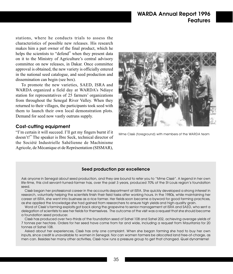stations, where he conducts trials to assess the characteristics of possible new releases. His research makes him a part owner of the final product, which he helps the scientists to "defend" when they present data on it to the Ministry of Agriculture's central advisory committee on new releases, in Dakar. Once committee approval is obtained, the new variety is officially entered in the national seed catalogue, and seed production and dissemination can begin (see box).

To promote the new varieties, SAED, ISRA and WARDA organized a field day at WARDA's Ndiaye station for representatives of 25 farmers' organizations from throughout the Senegal River Valley. When they returned to their villages, the participants took seed with them to launch their own local demonstration plots. Demand for seed now vastly outruns supply.

#### **Cost-cutting equipment**

"I'm certain it will succeed. I'll get my fingers burnt if it doesn't!" The speaker is Ibre Seck, technical director of the Société Industrielle Sahélienne de Machinisme Agricole, de Mécanique et de Représentation (SISMAR),



Mme Cissé (foreground) with members of the WARDA team

#### **Seed production par excellence**

Ask anyone in Senegal about seed production, and they are bound to refer you to "Mme Cissé". A legend in her own life-time, this civil servant-turned-farmer has, over the past 3 years, produced 70% of the St-Louis region's foundation seed.

Cissé began her professional career in the accounts department at ISRA. She quickly developed a strong interest in research, voluntarily helping the scientists finish their field tasks after working hours. In the 1980s, while maintaining her career at ISRA, she went into business as a rice farmer. Her fields soon became a byword for good farming practices, as she applied the knowledge she had gained from researchers to ensure high yields and high-quality grain.

Word of Cissé's farming exploits got back along the grapevine to senior management at ISRA and SAED, who sent a delegation of scientists to see her fields for themselves. The outcome of the visit was a request that she should become a foundation seed producer.

Cissé has produced over two-thirds of the foundation seed of Sahel 108 and Sahel 202, achieving average yields of 7 tonnes per hectare. Orders for her seed have come from far and wide, including a request from Mauritania for 20 tonnes of Sahel 108.

Asked about her experiences, Cissé has only one complaint. When she began farming she had to buy her own inputs, since credit is unavailable to women in Senegal. Nor can women farmers be allocated land free-of-charge, as men can. Besides her many other activities, Cissé now runs a pressure group to get that changed. Quel dynamisme!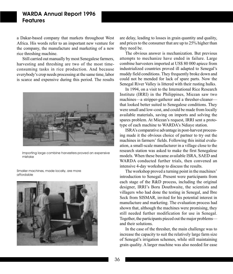a Dakar-based company that markets throughout West Africa. His words refer to an important new venture for the company, the manufacture and marketing of a new rice threshing machine.

Still carried out manually by most Senegalese farmers, harvesting and threshing are two of the most timeconsuming tasks in rice production. And because everybody's crop needs processing at the same time, labor is scarce and expensive during this period. The results



Importing large combine harvesters proved an expensive mistake

Smaller machines, made locally, are more affordable



are delay, leading to losses in grain quantity and quality, and prices to the consumer that are up to 25% higher than they need be.

The obvious answer is mechanization. But previous attempts to mechanize have ended in failure. Large combine harvesters imported at US\$ 80 000 apiece from industrialized countries proved ill adapted to Senegal's muddy field conditions. They frequently broke down and could not be mended for lack of spare parts. Now the Senegal River Valley is littered with their rusting hulks.

In 1994, on a visit to the International Rice Research Institute (IRRI) in the Philippines, Miezan saw two machines—a stripper-gatherer and a thresher-cleaner that looked better suited to Senegalese conditions. They were small and low-cost, and could be made from locally available materials, saving on imports and solving the spares problem. At Miezan's request, IRRI sent a prototype of each machine to WARDA's Ndiaye station.

ISRA's comparative advantage in post-harvest processing made it the obvious choice of partner to try out the machines in farmers' fields. Following this initial evaluation, a small-scale manufacturer in a village close to the research station was asked to make the first Senegalese models. When these became available ISRA, SAED and WARDA conducted further trials, then convened an intensive 4-day workshop to discuss the results.

The workshop proved a turning point in the machines' introduction to Senegal. Present were participants from each stage of the R&D process, including the original designer, IRRI's Boru Douthwaite, the scientists and villagers who had done the testing in Senegal, and Ibre Seck from SISMAR, invited for his potential interest in manufacture and marketing. The evaluation process had shown that, although the machines were promising, they still needed further modification for use in Senegal. Together, the participants pieced out the major problems and their solutions.

In the case of the thresher, the main challenge was to increase the capacity to suit the relatively large farm size of Senegal's irrigation schemes, while still maintaining grain quality. A larger machine was also needed for ease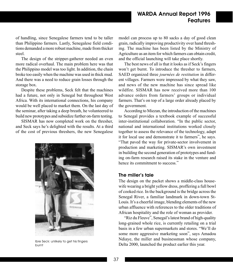of handling, since Senegalese farmers tend to be taller than Philippino farmers. Lastly, Senegalese field conditions demanded a more robust machine, made from thicker steel.

The design of the stripper-gatherer needed an even more radical overhaul. The main problem here was that the Philippino model was too light. In addition, the chain broke too easily when the machine was used in thick mud. And there was a need to reduce grain losses through the storage box.

Despite these problems, Seck felt that the machines had a future, not only in Senegal but throughout West Africa. With its international connections, his company would be well placed to market them. On the last day of the seminar, after taking a deep breath, he volunteered to build new prototypes and subsidize further on-farm testing.

SISMAR has now completed work on the thresher, and Seck says he's delighted with the results. At a third of the cost of previous threshers, the new Senegalese



burnt

model can process up to 80 sacks a day of good clean grain, radically improving productivity over hand threshing. The machine has been listed by the Ministry of Agriculture as an item for which farmers can obtain credit, and the official launching will take place shortly.

The best news of all is that it looks as if Seck's fingers won't get burnt. To introduce the thresher to farmers, SAED organized three *journées de restitution* in different villages. Farmers were impressed by what they saw, and news of the new machine has since spread like wildfire. SISMAR has now received more than 100 advance orders from farmers' groups or individual farmers. That's on top of a large order already placed by the government.

According to Miezan, the introduction of the machines to Senegal provides a textbook example of successful inter-institutional collaboration. "In the public sector, national and international institutions worked closely together to assess the relevance of the technology, adapt it for local use and demonstrate it to farmers", he says. "That paved the way for private-sector involvement in production and marketing. SISMAR's own investment in building the second generation of prototypes and funding on-farm research raised its stake in the venture and hence its commitment to success."

#### **The miller's tale**

The design on the packet shows a middle-class housewife wearing a bright yellow dress, proffering a full bowl of cooked rice. In the background is the bridge across the Senegal River, a familiar landmark in down-town St-Louis. It's a cheerful image, blending elements of the new urban affluence with references to the older traditions of African hospitality and the role of woman as provider.

"Riz du Fleuve", Senegal's latest brand of high-quality long-grained whole rice, is currently retailing on a trial basis in a few urban supermarkets and stores. "We'll do some more aggressive marketing soon", says Amadou Ndiaye, the miller and businessman whose company, Delta 2000, launched the product earlier this year.<br>Delta 2000, launched the product earlier this year.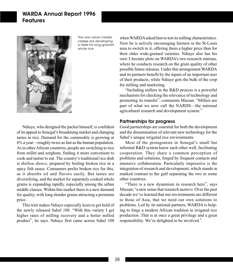

The new urban middle classes are developing a taste for long-grained whole rice

Ndiaye, who designed the packet himself, is confident of its appeal to Senegal's broadening market and changing tastes in rice. Demand for the commodity is growing at 6% a year—roughly twice as fast as the human population. As in other African countries, people are switching to rice from millet and sorghum, finding it more convenient to cook and tastier to eat. The country's traditional rice dish is *thiébou dience,* prepared by boiling broken rice in a spicy fish sauce. Consumers prefer broken rice for this, as it absorbs oil and flavors easily. But tastes are diversifying, and the market for separately cooked whole grains is expanding rapidly, especially among the urban middle classes. Within this market there is a new demand for quality, with long slender grains attracting a premium price.

This trait makes Ndiaye especially keen to get hold of the newly released Sahel 108. "With this variety I get higher rates of milling recovery and a better milled product", he says. Ndiaye first came across Sahel 108 when WARDA asked him to test its milling characteristics. Now he is actively encouraging farmers in the St-Louis area to switch to it, offering them a higher price than for their older wide-grained varieties. Ndiaye also has his own 3-hectare plots on WARDA's two research stations, where he conducts research on the grain quality of other possible future releases. Under this arrangement WARDA and its partners benefit by the inputs of an important user of their products, while Ndiaye gets the bulk of the crop for milling and marketing.

"Including millers in the R&D process is a powerful mechanism for checking the relevance of technology and promoting its transfer", comments Miezan. "Millers are part of what we now call the NARDS—the national agricultural research and development system."

#### **Partnerships for progress**

Good partnerships are essential for both the development and the dissemination of relevant new technology for the Sahel's unique irrigated rice environments.

Most of the protagonists in Senegal's small but informal R&D system know each other well, facilitating cooperation. They share a common perception of problems and solutions, forged by frequent contacts and intensive collaboration. Particularly impressive is the integration of research and development, which stands in marked contrast to the gulf separating the two in some other countries.

"There is a new dynamism in research here", says Miezan, "a new sense that research *matters*. Over the past decade we've learned that our environments are different to those of Asia, that we need our own solutions to problems. Led by its national partners, WARDA is helping to forge a modern African tradition in irrigated rice production. That is at once a great privilege and a great responsibility. We're delighted to be involved."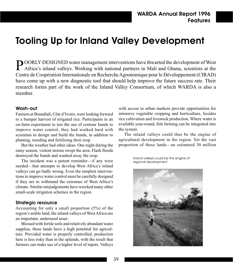# **Tooling Up for Inland Valley Development**

**POORLY DESIGNED** water management interventions have thwarted the development of West Africa's inland valleys. Working with national partners in Mali and Ghana, scientists at the Centre de Coopération Internationale en Recherche Agronomique pour le Développement (CIRAD) have come up with a new diagnostic tool that should help improve the future success rate. Their research forms part of the work of the Inland Valley Consortium, of which WARDA is also a member.

#### **Wash-out**

Farmers at Boundiali, Côte d'Ivoire, were looking forward to a bumper harvest of irrigated rice. Participants in an on-farm experiment to test the use of contour bunds to improve water control, they had worked hard with scientists to design and build the bunds, in addition to planting, weeding and fertilizing their crop.

But the weather had other ideas. One night during the rainy season, violent storms swept the area. Flash floods destroyed the bunds and washed away the crop.

The incident was a potent reminder—if any were needed—that attempts to develop West Africa's inland valleys can go badly wrong. Even the simplest interventions to improve water control must be carefully designed if they are to withstand the extremes of West Africa's climate. Similar misjudgements have wrecked many other small-scale irrigation schemes in the region.

#### **Strategic resource**

Accounting for only a small proportion (5%) of the region's arable land, the inland valleys of West Africa are an important, underused asset.

Blessed with fertile soils and relatively abundant water supplies, these lands have a high potential for agriculture. Provided water is properly controlled, production here is less risky than in the uplands, with the result that farmers can make use of a higher level of inputs. Valleys

with access to urban markets provide opportunities for intensive vegetable cropping and horticulture, besides rice cultivation and livestock production. Where water is available year-round, fish farming can be integrated into the system.

The inland valleys could thus be the engine of agricultural development in the region. Yet the vast proportion of these lands—an estimated 30 million

> Inland valleys could be the engine of regional development

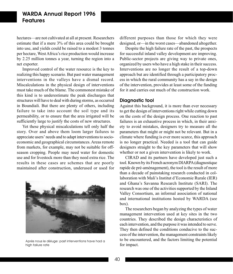hectares—are not cultivated at all at present. Researchers estimate that if a mere 3% of this area could be brought into use, and yields could be raised to a modest 3 tonnes per hectare, West Africa's rice production would increase by 2.25 million tonnes a year, turning the region into a net exporter.

Improved control of the water resource is the key to realizing this happy scenario. But past water management interventions in the valleys have a dismal record. Miscalculations in the physical design of interventions must take much of the blame. The commonest mistake of this kind is to underestimate the peak discharges that structures will have to deal with during storms, as occurred in Boundiali. But there are plenty of others, including failure to take into account the soil type and its permeability, or to ensure that the area irrigated will be sufficiently large to justify the costs of new structures.

Yet these physical miscalculations tell only half the story. Over and above them loom larger failures to appreciate users' needs and to adapt interventions to socioeconomic and geographical circumstances. Areas remote from markets, for example, may not be suitable for offseason cropping. People may need water for domestic use and for livestock more than they need extra rice. The results in these cases are schemes that are poorly maintained after construction, underused or used for



Après nous le déluge: past interventions have had a high failure rate

different purposes than those for which they were designed, or—in the worst cases—abandoned altogether.

Despite the high failure rate of the past, the prospects for successful inland valley development are improving. Public-sector projects are giving way to private ones, organized by users who have a high stake in their success. Interventions are no longer the result of a top-down approach but are identified through a participatory process in which the rural community has a say in the design of the intervention, provides at least some of the funding for it and carries out much of the construction work.

#### **Diagnostic tool**

Against this background, it is more than ever necessary to get the design of interventions right while cutting down on the costs of the design process. One reaction to past failures is an exhaustive process in which, in their anxiety to avoid mistakes, designers try to measure all the parameters that might or might not be relevant. But in a climate where funding is ever more scarce, this approach is no longer practical. Needed is a tool that can guide designers straight to the key parameters that will show whether or not a given intervention is likely to work.

CIRAD and its partners have developed just such a tool. Known by its French acronym DIARPA (diagnostique rapide de pré-aménagement), the tool is the result of more than a decade of painstaking research conducted in collaboration with Mali's Institut d'Economie Rurale (IER) and Ghana's Savanna Research Institute (SARI). The research was one of the activities supported by the Inland Valley Consortium, an informal association of national and international institutions hosted by WARDA (see box).

The researchers began by analyzing the types of water management intervention used at key sites in the two countries. They described the design characteristics of each intervention, and the purpose it was intended to serve. They then defined the conditions conducive to the success of the intervention, the management constraints likely to be encountered, and the factors limiting the potential for impact.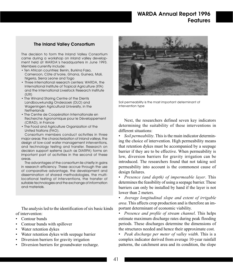#### **The Inland Valley Consortium**

The decision to form the Inland Valley Consortium came during a workshop on inland valley development held at WARDA's headquarters in June 1993. Members currently include:

- Ten African countries: Benin, Burkina Faso, Cameroon, Côte d'Ivoire, Ghana, Guinea, Mali, Nigeria, Sierra Leone and Togo
- Three international research centers: WARDA, the International Institute of Tropical Agriculture (IITA) and the International Livestock Research Institute (ILRI)
- The Winand Staring Centre of the Dients Landbouwkundig Onderzoek (DLO) and Wageningen Agricultural University, in the **Netherlands**
- The Centre de Coopération Internationale en Recherche Agronomique pour le Développement (CIRAD), in France
- The Food and Agriculture Organization of the United Nations (FAO).

Consortium members conduct activities in three major areas: the characterization of inland valleys, the design of low-cost water management interventions, and technology testing and transfer. Research on decision support systems (such as DIARPA) forms an important part of activities in the second of these areas.

The advantages of the consortium lie chiefly in gains in research efficiency. These accrue through the use of comparative advantage, the development and dissemination of shared methodologies, the multilocational testing of interventions, the transfer of suitable technologies and the exchange of information and materials.

The analysis led to the identification of six basic kinds of intervention:

- Contour bunds
- Contour bunds with spillover
- Water retention dykes
- Water retention dykes with seepage barrier
- Diversion barriers for gravity irrigation
- Diversion barriers for groundwater recharge.



Soil permeability is the most important determinant of intervention type

Next, the researchers defined seven key indicators determining the suitability of these interventions in different situations:

• *Soil permeability*. This is the main indicator determining the choice of intervention. High permeability means that retention dykes must be accompanied by a seepage barrier if they are to be effective. When permeability is low, diversion barriers for gravity irrigation can be introduced. The researchers found that not taking soil permeability into account is the commonest cause of design failures.

• *Presence (and depth) of impermeable layer*. This determines the feasibility of using a seepage barrier. These barriers can only be installed by hand if the layer is not lower than 2 meters.

• *Average longitudinal slope and extent of irrigable area*. This affects crop production and is therefore an important determinant of economic viability.

• *Presence and profile of stream channel*. This helps estimate maximum discharge rates during peak flooding periods. These discharges determine the dimensions of the structures needed and hence their approximate cost.

• *Peak discharge per meter of valley width*. This is a complex indicator derived from average 10-year rainfall patterns, the catchment area and its condition, the slope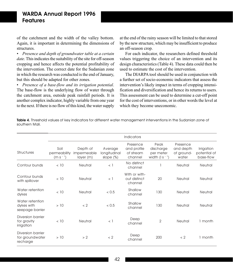of the catchment and the width of the valley bottom. Again, it is important in determining the dimensions of structures.

• *Presence and depth of groundwater table at a certain date*. This indicates the suitability of the site for off-season cropping and hence affects the potential profitability of the intervention. The correct date for the Sudanian zone in which the research was conducted is the end of January, but this should be adapted for other zones.

• *Presence of a base-flow and its irrigation potential*. The base-flow is the underlying flow of water through the catchment area, outside peak rainfall periods. It is another complex indicator, highly variable from one year to the next. If there is no flow of this kind, the water supply at the end of the rainy season will be limited to that stored by the new structure, which may be insufficient to produce an off-season crop.

For each indicator, the researchers defined threshold values triggering the choice of an intervention and its design characteristics (Table 4). These data could then be used to estimate the cost of the intervention.

The DIARPA tool should be used in conjunction with a further set of socio-economic indicators that assess the intervention's likely impact in terms of cropping intensification and diversification and hence its returns to users. This assessment can be used to determine a cut-off point for the cost of interventions, or in other words the level at which they become uneconomic.

**Indicators Structures** Soil permeability impermeable  $(m s<sup>-1</sup>)$ Depth of layer (m) Average longitudinal slope (%) Presence and profile of stream channel Peak discharge per meter width  $(l s<sup>-1</sup>)$ Presence and depth of groundwater Irrigation potential of base-flow C 0 ontour bunds < l <sup>1</sup> N 1 eutra <sup>&</sup>lt; No distinct channel 1 l N l eutra Neutra Contour bunds with spillover < 10 Neutral < 1 With or without distinct channel 20 Neutral Neutral Water retention dykes < 10 Neutral < 0.5 Shallow channel 130 Neutral Neutral<br>Channel 130 Water retention dykes with seepage barrier  $> 10$   $< 2$   $< 0.5$  Shallow channel 130 Neutral Neutral Diversion barrier for gravity irrigation < l <sup>10</sup> N 1 eutra <sup>&</sup>lt; Deep channel 2 Neutral 1 month Diversion barrier for groundwater recharge  $> 10$   $> 2$   $< 2$  Deep  $\frac{1}{200}$   $\leq 2$  1 month

**Table 4.** Threshold values of key indicators for different water management interventions in the Sudanian zone of southern Mali.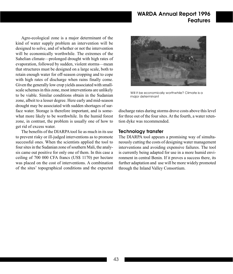Agro-ecological zone is a major determinant of the kind of water supply problem an intervention will be designed to solve, and of whether or not the intervention will be economically worthwhile. The extremes of the Sahelian climate—prolonged drought with high rates of evaporation, followed by sudden, violent storms—mean that structures must be designed on a large scale, both to retain enough water for off-season cropping and to cope with high rates of discharge when rains finally come. Given the generally low crop yields associated with smallscale schemes in this zone, most interventions are unlikely to be viable. Similar conditions obtain in the Sudanian zone, albeit to a lesser degree. Here early and mid-season drought may be associated with sudden shortages of surface water. Storage is therefore important, and is somewhat more likely to be worthwhile. In the humid forest zone, in contrast, the problem is usually one of how to get rid of excess water.

The benefits of the DIARPA tool lie as much in its use to prevent risky or ill-judged interventions as to promote successful ones. When the scientists applied the tool to four sites in the Sudanian zone of southern Mali, the analysis came out positive for only one of them. In this case a ceiling of 700 000 CFA francs (US\$ 1170) per hectare was placed on the cost of interventions. A combination of the sites' topographical conditions and the expected



Will it be economically worthwhile? Climate is a major determinant

discharge rates during storms drove costs above this level for three out of the four sites. At the fourth, a water retention dyke was recommended.

#### **Technology transfer**

The DIARPA tool appears a promising way of simultaneously cutting the costs of designing water management interventions and avoiding expensive failures. The tool is currently being adapted for use in a more humid environment in central Benin. If it proves a success there, its further adaptation and use will be more widely promoted through the Inland Valley Consortium.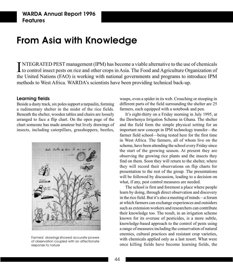# **From Asia with Knowledge**

INTEGRATED PEST management (IPM) has become a viable alternative to the use of chemicals<br>to control insect pests on rice and other crops in Asia. The Food and Agriculture Organization of **T** NTEGRATED PEST management (IPM) has become a viable alternative to the use of chemicals the United Nations (FAO) is working with national governments and programs to introduce IPM methods to West Africa. WARDA's scientists have been providing technical back-up.

#### **Learning fields**

Beside a dusty track, six poles support a tarpaulin, forming a rudimentary shelter in the midst of the rice fields. Beneath the shelter, wooden tables and chairs are loosely arranged to face a flip chart. On the open page of the chart someone has made amateur but lively drawings of insects, including caterpillars, grasshoppers, beetles,



Farmers' drawings showed accurate powers of observation coupled with an affectionate response to nature

wasps, even a spider in its web. Crouching or stooping in different parts of the field surrounding the shelter are 25 farmers, each equipped with a notebook and pen.

It's eight-thirty on a Friday morning in July 1995, at the Dawhenya Irrigation Scheme in Ghana. The shelter and the field form the simple physical setting for an important new concept in IPM technology transfer—the farmer field school—being tested here for the first time in West Africa. The farmers, all of whom live on the scheme, have been attending the school every Friday since the start of the growing season. At present they are observing the growing rice plants and the insects they find on them. Soon they will return to the shelter, where they will record their observations on flip charts for presentation to the rest of the group. The presentations will be followed by discussion, leading to a decision on what, if any, pest control measures are needed.

The school is first and foremost a place where people learn by doing, through direct observation and discovery in the rice field. But it's also a meeting of minds—a forum at which farmers can exchange experiences and outsiders such as extension workers and researchers can contribute their knowledge too. The result, in an irrigation scheme known for its overuse of pesticides, is a more subtle, knowledge-based approach to the control of pests using a range of measures including the conservation of natural enemies, cultural practices and resistant crop varieties, with chemicals applied only as a last resort. What were once killing fields have become learning fields, the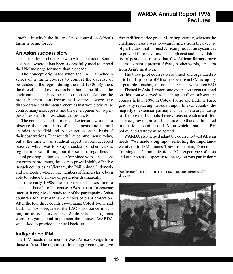crucible in which the future of pest control on Africa's farms is being forged.

#### **An Asian success story**

The farmer field school is new to Africa but not to Southeast Asia, where it has been successfully used to spread the IPM message for more than a decade.

The concept originated when the FAO launched a series of training courses to combat the overuse of pesticides in the region during the mid-1980s. By then, the dire effects of overuse on both human health and the environment had become all too apparent. Among the most harmful environmental effects were the disappearance of the natural enemies that would otherwise control many insect pests, and the development of "superpests" resistant to most chemical products.

The courses taught farmers and extension workers to observe the populations of insect pests and natural enemies in the field and to take action on the basis of their observations. That sounds like common sense today, but at the time it was a radical departure from accepted practice, which was to spray a cocktail of chemicals at regular intervals throughout the season, regardless of actual pest population levels. Combined with subsequent government programs, the courses proved highly effective in such countries as Vietnam, the Philippines, Indonesia and Cambodia, where large numbers of farmers have been able to reduce their use of pesticides dramatically.

In the early 1990s, the FAO decided it was time to spread the benefits of the course to West Africa. To generate interest, it organized a study tour of the participating Asian countries for West African directors of plant protection. After the tour three countries—Ghana, Côte d'Ivoire and Burkina Faso—requested the FAO's assistance in running an introductory course. While national programs were to organize and implement the courses, WARDA was asked to provide technical back-up.

#### **Indigenizing IPM**

The IPM needs of farmers in West Africa diverge from those of Asia. The region's different agro-ecologies give rise to different rice pests. More importantly, whereas the challenge in Asia was to wean farmers from the overuse of pesticides, that in most African production systems is to prevent future overuse. The high cost and unavailability of pesticides means that few African farmers have access to them at present. Africa, in other words, can learn from Asia's mistakes.

The three pilot courses were timed and organized so as to build up a core of African expertise in IPM as rapidly as possible. Teaching the course in Ghana were three FAO staff based in Asia. Farmers and extension agents trained on this course served as teaching staff on subsequent courses held in 1996 in Côte d'Ivoire and Burkina Faso, gradually replacing the Asian input. In each country, the majority of extension participants went on to organize up to 10 more field schools the next season, each in a different rice-growing area. The course in Ghana culminated in a national seminar on IPM, at which a national IPM policy and strategy were agreed.

WARDA also helped adapt the course to West African needs. "We made a big input, reflecting the importance we attach to IPM", notes Tony Youdeowei, Director of Training and Communications. "Our experience of pests and other stresses specific to the region was particularly

The farmer field school at Sakassou irrigation scheme, Côte d'Ivoire

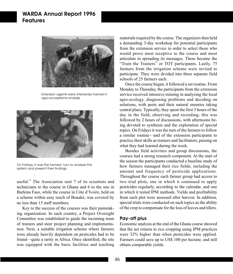

Extension agents were intensively trained in agro-ecosystems analysis



On Fridays, it was the farmers' turn to analyze the system and present their findings

useful." The Association sent 7 of its scientists and technicians to the course in Ghana and 6 to the one in Burkina Faso, while the course in Côte d'Ivoire, held on a scheme within easy reach of Bouaké, was covered by no less than 15 staff members.

Key to the success of the courses was their painstaking organization. In each country, a Project Oversight Committee was established to guide the incoming team of trainers and steer project planning and implementation. Next, a suitable irrigation scheme where farmers were already heavily dependent on pesticides had to be found—quite a rarity in Africa. Once identified, the site was equipped with the basic facilities and teaching

materials required by the course. The organizers then held a demanding 3-day workshop for potential participants from the extension service in order to select those who would prove most receptive to the course and most articulate in spreading its messages. These became the "Train the Trainers" or TOT participants. Lastly, 75 farmers from the irrigation scheme were invited to participate. They were divided into three separate field schools of 25 farmers each.

Once the course began, it followed a set routine. From Monday to Thursday, the participants from the extension service received intensive training in analyzing the local agro-ecology, diagnosing problems and deciding on solutions, with pests and their natural enemies taking central place. Typically, they spent the first 3 hours of the day in the field, observing and recording; this was followed by 2 hours of discussions, with afternoons being devoted to synthesis and the exploration of special topics. On Fridays it was the turn of the farmers to follow a similar routine—and of the extension participants to practice their skills as trainers and facilitators, passing on what they had learned during the week.

Besides field activities and group discussions, the courses had a strong research component. At the start of the season the participants conducted a baseline study of how farmers managed their rice fields, including the amount and frequency of pesticide applications. Throughout the course each farmer group had access to two trial plots, one in which it continued to apply pesticides regularly, according to the calendar, and one in which it tested IPM methods. Yields and profitability from each plot were assessed after harvest. In addition, special trials were conducted on such topics as the ability of the crop to compensate for the loss of leaves and tillers.

#### **Pay-off plus**

Economic analysis at the end of the Ghana course showed that the net returns to rice cropping using IPM practices were 32% higher than when pesticides were applied. Farmers could save up to US\$ 100 per hectare, and still obtain comparable yields.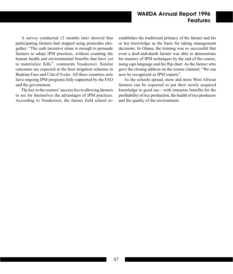A survey conducted 12 months later showed that participating farmers had stopped using pesticides altogether. "The cash incentive alone is enough to persuade farmers to adopt IPM practices, without counting the human health and environmental benefits that have yet to materialize fully", comments Youdeowei. Similar outcomes are expected at the host irrigation schemes in Burkina Faso and Côte d'Ivoire. All three countries now have ongoing IPM programs fully supported by the FAO and the government.

The key to the courses' success lies in allowing farmers to see for themselves the advantages of IPM practices. According to Youdeowei, the farmer field school reestablishes the traditional primacy of the farmer and his or her knowledge as the basis for taking management decisions. In Ghana, the training was so successful that even a deaf-and-dumb farmer was able to demonstrate his mastery of IPM techniques by the end of the course, using sign language and his flip chart. As the farmer who gave the closing address on the course claimed, "We can now be recognized as IPM experts".

As the schools spread, more and more West African farmers can be expected to put their newly acquired knowledge to good use—with immense benefits for the profitability of rice production, the health of rice producers and the quality of the environment.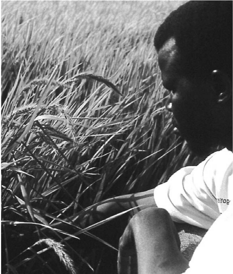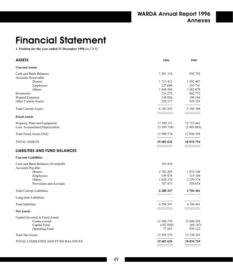# **Financial Statement**

**1. Position for the year ended 31 December 1996** (in US \$)

| <b>ASSETS</b>                        | 1996       | 1995       |
|--------------------------------------|------------|------------|
| <b>Current Assets</b>                |            |            |
| Cash and Bank Balances               | 1 201 134  | 930 792    |
| <b>Accounts Receivable:</b>          |            |            |
| Donors                               | 1 713 412  | 1 592 487  |
| Employees                            | 237 600    | 255 741    |
| Others                               | 1948 584   | 1 282 079  |
| Inventories                          | 716 279    | 602 772    |
| Prepaid Expenses                     | 138 026    | 198 166    |
| <b>Other Current Assets</b>          | 228 217    | 324 359    |
| <b>Total Current Assets</b>          | 6 183 252  | 5 186 396  |
| <b>Fixed Assets</b>                  |            |            |
| Property, Plant and Equipment        | 17 100 112 | 15 753 441 |
| Less: Accumulated Depreciation       | (3599738)  | (2905083)  |
| Total Fixed Assets (Net)             | 13 500 374 | 12 848 358 |
| <b>TOTAL ASSETS</b>                  | 19 683 626 | 18 034 754 |
| <b>LIABILITIES AND FUND BALANCES</b> |            |            |
| <b>Current Liabilities</b>           |            |            |
| Cash and Bank Balances (Overdraft)   | 763 419    |            |
| Accounts Payable:                    |            |            |
| Donors                               | 2 703 203  | 1 873 144  |
| Employees                            | 195 874    | 115 109    |
| Others                               | 1838276    | 2 159 574  |
| Provisions and Accruals              | 787475     | 556 634    |
| <b>Total Current Liabilities</b>     | 6 288 247  | 4 704 461  |
| Long-term Liabilities                |            |            |
| <b>Total liabilities</b>             | 6 288 247  | 4 704 461  |
| <b>Net Assets</b>                    |            |            |
| Capital Invested in Fixed Assets     |            |            |
| Center-owned                         | 13 500 374 | 12 848 358 |
| Capital Fund                         | (182 850)  | (68187)    |
| Operating Fund                       | 77855      | 550 122    |
| <b>Total Net Assets</b>              | 13 395 379 | 13 330 293 |
| TOTAL LIABILITIES AND FUND BALANCES  | 19 683 626 | 18 034 754 |
|                                      |            |            |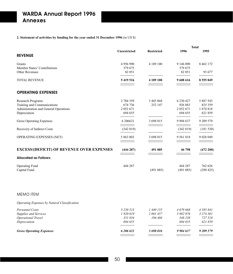#### **2. Statement of activities by funding for the year ended 31 December 1996** (in US \$)

|                                                  |               |                   | <b>Total</b>  |               |
|--------------------------------------------------|---------------|-------------------|---------------|---------------|
| <b>REVENUE</b>                                   | Unrestricted  | <b>Restricted</b> | 1996          | 1995          |
| Grants                                           | 4 9 5 6 9 9 0 | 4 189 100         | 9 146 090     | 8 4 6 2 1 7 2 |
| Member States' Contributions                     | 379 675       |                   | 379 675       |               |
| Other Revenues                                   | 82 851        |                   | 82 851        | 93 677        |
| <b>TOTAL REVENUE</b>                             | 5 4 19 5 16   | 4 189 100         | 9 608 616     | 8 5 5 8 4 9   |
| <b>OPERATING EXPENSES</b>                        |               |                   |               |               |
| Research Programs                                | 2 784 559     | 3 445 868         | 6 230 427     | 5 887 543     |
| Training and Communications                      | 674 736       | 252 147           | 926 883       | 825 359       |
| Administration and General Operations            | 2 0 5 2 6 7 1 |                   | 2 0 5 2 6 7 1 | 1 874 818     |
| Depreciation                                     | 694 655       |                   | 694 655       | 621859        |
| Gross Operating Expenses                         | 6 206621      | 3 698 015         | 9 9 0 4 6 3 7 | 9 209 579     |
| Recovery of Indirect Costs                       | (342819)      |                   | (342819)      | (181530)      |
| OPERATING EXPENSES (NET)                         | 5 863 803     | 3 698 015         | 9 5 61 818    | 9 0 28 0 49   |
| <b>EXCESS/(DEFICIT) OF REVENUE OVER EXPENSES</b> | (444 287)     | 491 085           | 46 798        | (472 200)     |
| <b>Allocated as Follows:</b>                     |               |                   |               |               |
| <b>Operating Fund</b>                            | 444 287       |                   | 444 287       | 762 626       |
| Capital Fund                                     |               | (491085)          | (491085)      | (290 425)     |
|                                                  |               |                   |               |               |
| <b>MEMO ITEM</b>                                 |               |                   |               |               |
| Operating Expenses by Natural Classification     |               |                   |               |               |
| <b>Personnel Costs</b>                           | 3 239 513     | 1 440 155         | 4 679 668     | 4 5 8 5 8 4 1 |
| Supplies and Services                            | 1920619       | 2 061 457         | 3 982 076     | 3 274 361     |
| Operational Travel                               | 351834        | 196 404           | 548 238       | 727 518       |
| Depreciation                                     | 694 655       |                   | 694 655       | 621859        |
| <b>Gross Operating Expenses</b>                  | 6 206 621     | 3 698 016         | 9 904 637     | 9 209 579     |
|                                                  |               |                   |               |               |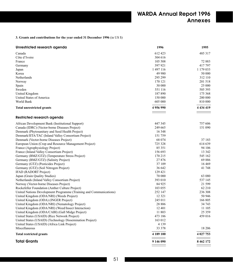#### **3. Grants and contributions for the year ended 31 December 1996** (in US \$)

| Unrestricted research agenda                                       | 1996      | 1995          |
|--------------------------------------------------------------------|-----------|---------------|
| Canada                                                             | 612 423   | 485 317       |
| Côte d'Ivoire                                                      | 304 616   |               |
| France                                                             | 105 508   | 72883         |
| Germany                                                            | 397 921   | 417 797       |
| Japan                                                              | 1 497 116 | 1 179 033     |
| Korea                                                              | 49 980    | 50 000        |
| Netherlands                                                        | 295 299   | 312 110       |
| Norway                                                             | 170 121   | 201 518       |
| Spain                                                              | 30 000    | 25 000        |
| Sweden                                                             | 551 116   | 505 393       |
| United Kingdom                                                     | 187890    | 175 368       |
| United States of America                                           | 150 000   | 200 000       |
| World Bank                                                         | 605 000   | 810 000       |
| <b>Total unrestricted grants</b>                                   | 4956990   | 4 434 419     |
|                                                                    |           |               |
| Restricted research agenda                                         |           |               |
| African Development Bank (Institutional Support)                   | 447 345   | 757 606       |
| Canada (IDRC) (Vector-borne Diseases Project)                      | 249 665   | 151 090       |
| Denmark (Phytosanitary and Seed Health Project)                    | 16 348    |               |
| Denmark/IITA/TAC (Inland Valley Consortium Project)                | 151 759   |               |
| Denmark (Vector-borne Diseases Project)                            | 68 074    | 37 183        |
| European Union (Crop and Resource Management Project)              | 725 328   | 614 639       |
| France (Agrophysiology Project)                                    | 85 351    | 94 106        |
| France (Inland Valley Consortium Project)                          | 156 693   | 13 342        |
| Germany (BMZ/GTZ) (Temperature Stress Project)                     | 170 215   | 545 162       |
| Germany (BMZ/GTZ) (Salinity Project)                               | 27876     | 69886         |
| Germany (GTZ) (Pesticides Project)                                 | 37 109    | 16 4 69       |
| Germany (GTZ) (Soil Nitrogen Project)                              | 36 642    | 41 748        |
| <b>IFAD (RADORT Project)</b>                                       | 129 421   |               |
| Japan (Grain Quality Studies)                                      | 70 000    | 63 080        |
| Netherlands (Inland Valley Consortium Project)                     | 393 010   | 537 145       |
| Norway (Vector-borne Diseases Project)                             | 84 9 25   | 21 599        |
| Rockefeller Foundation (Anther Culture Project)                    | 103 055   | 62 210        |
| United Nations Development Programme (Training and Communications) | 252 147   | 236 308       |
| United Kingdom (ODA/NRI) (Weeds Project)                           | 12 3 21   | 50 946        |
| United Kingdom (ODA) (INGER Project)                               | 245 011   | 166 805       |
| United Kingdom (ODA/NRI) (Nematology Project)                      | 28 8 8 6  | 34 743        |
| United Kingdom (ODA/NRI) (Weed/Insect Interaction)                 | 12 4 01   | 11 105        |
| United Kingdom (ODA/CABI) (Gall Midge Project)                     | 11 803    | 25 3 5 9      |
| United States (USAID) (Rice Network Project)                       | 473 186   | 459 016       |
| United States (USAID) (Technology Dissemination Project)           | 163 012   |               |
| United States (USAID) (Africa Link Project)                        | 4 1 3 9   |               |
| Miscellaneous                                                      | 33 378    | 18 20 6       |
| <b>Total restricted grants</b>                                     | 4 189 100 | 4 027 753     |
| <b>Total Grants</b>                                                | 9 146 090 | 8 4 6 2 1 7 2 |
|                                                                    |           |               |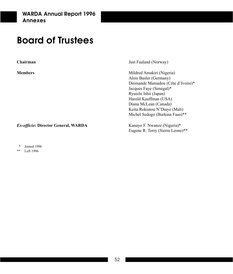# **Board of Trustees**

| Chairman                                   | Just Faaland (Norway)             |
|--------------------------------------------|-----------------------------------|
| <b>Members</b>                             | Mildred Amakiri (Nigeria)         |
|                                            | Alois Basler (Germany)            |
|                                            | Diomande Mamadou (Côte d'Ivoire)* |
|                                            | Jacques Faye (Senegal)*           |
|                                            | Ryuichi Ishii (Japan)             |
|                                            | Harold Kauffman (USA)             |
|                                            | Diana McLean (Canada)             |
|                                            | Keita Rokiatou N'Diaye (Mali)     |
|                                            | Michel Sedogo (Burkina Faso)**    |
| <i>Ex-officio: Director General, WARDA</i> | Kanayo F. Nwanze (Nigeria)*       |

Eugene R. Terry (Sierra Leone)\*\*

\* Joined 1996

\*\* Left 1996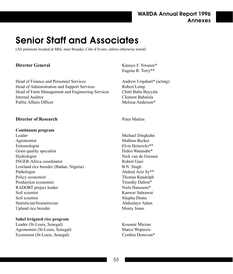# **WARDA Annual Report 1996 Annexes**

# **Senior Staff and Associates**

(All positions located at Mbé, near Bouaké, Côte d'Ivoire, unless otherwise noted)

#### **Director General** Kanayo F. Nwanze\*

Eugene R. Terry\*\*

Head of Finance and Personnel Services Andrew Urquhart\* (acting) Head of Administration and Support Services Robert Lemp Head of Farm Management and Engineering Services Chitti Babu Buyyala Internal Auditor Clement Babalola Public Affairs Officer and the Melissa Anderson\*

#### **Director of Research** 2002 **Peter Matlon**

#### **Continuum program**

Leader Michael Dingkuhn Agronomist Mathias Becker Entomologist Elvis Heinrichs\*\* Grain quality specialist Hideo Watanabe\* Hydrologist Nick van de Giessen **INGER-Africa coordinator** Robert Guei Lowland rice breeder (Ibadan, Nigeria) B.N. Singh Pathologist Abdoul Aziz Sy<sup>\*\*</sup> Policy economist Thomas Randolph Production economist Timothy Dalton\* RADORT project leader Niels Hanssens\* Soil scientist Kanwar Sahrawat Soil scientist Sitapha Diatta Statistician/biometrician Abdoulaye Adam Upland rice breeder Monty Jones

#### **Sahel irrigated rice program**

Leader (St-Louis, Senegal) Kouamé Miezan Agronomist (St-Louis, Senegal) Marco Wopereis Economist (St-Louis, Senegal) Cynthia Donovan\*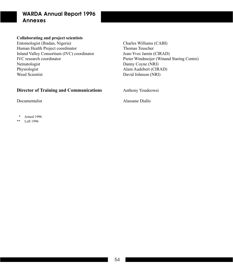# **WARDA Annual Report 1996 Annexes**

#### **Collaborating and project scientists**

Entomologist (Ibadan, Nigeria) Charles Williams (CABI) Human Health Project coordinator Thomas Teuscher Inland Valley Consortium (IVC) coordinator Jean-Yves Jamin (CIRAD) IVC research coordinator Pieter Windmeijer (Winand Staring Centre)<br>Nematologist Danny Coyne (NRI) Physiologist Alain Audebert (CIRAD) Weed Scientist David Johnson (NRI)

#### **Director of Training and Communications** Anthony Youdeowei

Danny Coyne (NRI)

Documentalist Alassane Diallo

- \* Joined 1996
- \*\* Left 1996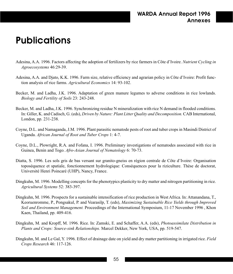# **Publications**

- Adesina, A.A. 1996. Factors affecting the adoption of fertilizers by rice farmers in Côte d'Ivoire. *Nutrient Cycling in Agroecosystems* 46:29-39.
- Adesina, A.A. and Djato, K.K. 1996. Farm size, relative efficiency and agrarian policy in Côte d'Ivoire: Profit function analysis of rice farms. *Agricultural Economics* 14: 93-102.
- Becker, M. and Ladha, J.K. 1996. Adaptation of green manure legumes to adverse conditions in rice lowlands. *Biology and Fertility of Soils* 23: 243-248.
- Becker, M. and Ladha, J.K. 1996. Synchronizing residue N mineralization with rice N demand in flooded conditions. In: Giller, K. and Cadisch, G. (eds), *Driven by Nature: Plant Litter Quality and Decomposition.* CAB International, London, pp. 231-238.
- Coyne, D.L. and Namaganda, J.M. 1996. Plant parasitic nematode pests of root and tuber crops in Masindi District of Uganda. *African Journal of Root and Tuber Crops* 1: 4-7.
- Coyne, D.L., Plowright, R.A. and Fofana, I. 1996. Preliminary investigations of nematodes associated with rice in Guinea, Benin and Togo. *Afro-Asian Journal of Nematology* 6: 70-73.
- Diatta, S. 1996. Les sols gris de bas versant sur granito-gneiss en région centrale de Côte d'Ivoire: Organisation toposéquence et spatiale, fonctionnement hydrologique: Conséquences pour la riziculture. Thèse de doctorat, Université Henri Poincaré (UHP), Nancy, France.
- Dingkuhn, M. 1996. Modelling concepts for the phenotypics plasticity to dry matter and nitrogen partitioning in rice. *Agricultural Systems* 52: 383-397.
- Dingkuhn, M. 1996. Prospects for a sustainable intensification of rice production in West Africa. In: Attanandana, T., Keoruenromme, P., Pongsakul, P. and Vearasilp, T. (eds), *Maximizing Sustainable Rice Yields through Improved Soil and Environment Management.* Proceedings of the International Symposium, 11-17 November 1996 , Khon Kaen, Thailand, pp. 409-416.
- Dingkuhn, M. and Kropff, M. 1996. Rice. In: Zamski, E. and Schaffer, A.A. (eds), *Photoassimilate Distribution in Plants and Crops: Source-sink Relationships.* Marcel Dekker, New York, USA, pp. 519-547.
- Dingkuhn, M. and Le Gal, Y. 1996. Effect of drainage date on yield and dry matter partitioning in irrigated rice. *Field Crops Research* 46: 117-126.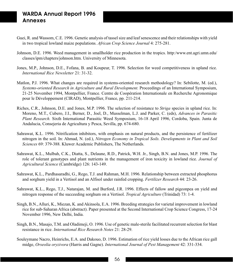- Guei, R. and Wassom, C.E. 1996. Genetic analysis of tassel size and leaf senescence and their relationships with yield in two tropical lowland maize populations. *African Crop Science Journal* 4: 275-281.
- Johnson, D.E. 1996. Weed management in smallholder rice production in the tropics. http:/www.ent.agri.umn.edu/ classes/ipm/chapters/johnson.htm. University of Minnesota.
- Jones, M.P., Johnson, D.E., Fofana, B. and Koupeur, T. 1996. Selection for weed competitiveness in upland rice. *International Rice Newsletter* 21: 31-32.
- Matlon, P.J. 1996. What changes are required in systems-oriented research methodology? In: Sebilotte, M. (ed.), *Systems-oriented Research in Agriculture and Rural Development.* Proceedings of an International Symposium, 21-25 November 1994, Montpellier, France. Centre de Coopération Internationale en Recherche Agronomique pour le Développement (CIRAD), Montpellier, France, pp. 211-214.
- Riches, C.R., Johnson, D.E. and Jones, M.P. 1996. The selection of resistance to *Striga* species in upland rice. In: Moreno, M.T., Cubero, J.I., Berner, D., Joel, D., Musselman, L.J. and Parker, C. (eds), *Advances in Parasitic Plant Research.* Sixth International Parasitic Weed Symposium, 16-18 April 1996, Cordoba, Spain. Junta de Andalucia, Consejeria de Agricultura y Pesca, Sevilla, pp. 674-680.
- Sahrawat, K.L. 1996. Nitrification inhibitors, with emphasis on natural products, and the persistence of fertilizer nitrogen in the soil. In: Ahmad, N. (ed.), *Nitrogen Economy in Tropical Soils. Developments in Plant and Soil Sciences* 69: 379-388. Kluwer Academic Publishers, The Netherlands.
- Sahrawat, K.L., Mulbah, C.K., Diatta, S., Delaune, R.D., Patrick, W.H. Jr., Singh, B.N. and Jones, M.P. 1996. The role of tolerant genotypes and plant nutrients in the management of iron toxicity in lowland rice. *Journal of Agricultural Science* (Cambridge) 126: 143-149.
- Sahrawat, K.L., Pardhasaradhi, G., Rego, T.J. and Rahman, M.H. 1996. Relationship between extracted phosphorus and sorghum yield in a Vertisol and an Alfisol under rainfed cropping. *Fertilizer Research* 44: 23-26.
- Sahrawat, K.L., Rego, T.J., Natarajan, M. and Burford, J.R. 1996. Effects of fallow and pigeonpea on yield and nitrogen response of the succeeding sorghum on a Vertisol. *Tropical Agriculture* (Trinidad) 73: 1-4.
- Singh, B.N., Alluri, K., Miezan, K. and Akinsola, E.A. 1996. Breeding strategies for varietal improvement in lowland rice for sub-Saharan Africa (abstract). Paper presented at the Second International Crop Science Congress, 17-24 November 1996, New Delhi, India.
- Singh, B.N., Masajo, T.M. and Oladimeji, O. 1996. Use of genetic male-sterile facilitated recurrent selection for blast resistance in rice. *International Rice Research Notes* 21: 28-29.
- Souleymane Nacro, Heinrichs, E.A. and Dakouo, D. 1996. Estimation of rice yield losses due to the African rice gall midge, *Orseolia oryzivora* (Harris and Gagne). *International Journal of Pest Management* 42: 331-334.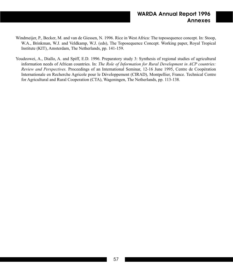- Windmeijer, P., Becker, M. and van de Giessen, N. 1996. Rice in West Africa: The toposequence concept. In: Stoop, W.A., Brinkman, W.J. and Veldkamp, W.J. (eds), The Toposequence Concept. Working paper, Royal Tropical Institute (KIT), Amsterdam, The Netherlands, pp. 141-159.
- Youdeowei, A., Diallo, A. and Spiff, E.D. 1996. Preparatory study 3: Synthesis of regional studies of agricultural information needs of African countries. In: *The Role of Information for Rural Development in ACP countries: Review and Perspectives.* Proceedings of an International Seminar, 12-16 June 1995, Centre de Coopération Internationale en Recherche Agricole pour le Développement (CIRAD), Montpellier, France. Technical Centre for Agricultural and Rural Cooperation (CTA), Wageningen, The Netherlands, pp. 113-138.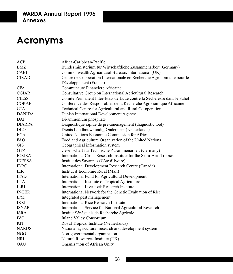# **Acronyms**

| ACP            | Africa-Caribbean-Pacific                                                 |
|----------------|--------------------------------------------------------------------------|
| <b>BMZ</b>     | Bundesministerium für Wirtschaftliche Zusammenarbeit (Germany)           |
| <b>CABI</b>    | Commonwealth Agricultural Bureaux International (UK)                     |
| <b>CIRAD</b>   | Centre de Coopération Internationale en Recherche Agronomique pour le    |
|                | Développement (France)                                                   |
| <b>CFA</b>     | Communauté Financière Africaine                                          |
| <b>CGIAR</b>   | Consultative Group on International Agricultural Research                |
| <b>CILSS</b>   | Comité Permanent Inter-Etats de Lutte contre la Sécheresse dans le Sahel |
| <b>CORAF</b>   | Conférence des Responsables de la Recherche Agronomique Africaine        |
| <b>CTA</b>     | Technical Centre for Agricultural and Rural Co-operation                 |
| <b>DANIDA</b>  | Danish International Development Agency                                  |
| <b>DAP</b>     | Di-ammonium phosphate                                                    |
| <b>DIARPA</b>  | Diagnostique rapide de pré-aménagement (diagnostic tool)                 |
| <b>DLO</b>     | Dients Landbouwkundig Onderzoek (Netherlands)                            |
| <b>ECA</b>     | United Nations Economic Commission for Africa                            |
| <b>FAO</b>     | Food and Agriculture Organization of the United Nations                  |
| <b>GIS</b>     | Geographical information system                                          |
| <b>GTZ</b>     | Gesellschaft für Technische Zusammenarbeit (Germany)                     |
| <b>ICRISAT</b> | International Crops Research Institute for the Semi-Arid Tropics         |
| <b>IDESSA</b>  | Institut des Savannes (Côte d'Ivoire)                                    |
| <b>IDRC</b>    | International Development Research Centre (Canada)                       |
| <b>IER</b>     | Institut d'Economie Rural (Mali)                                         |
| <b>IFAD</b>    | International Fund for Agricultural Development                          |
| <b>IITA</b>    | International Institute of Tropical Agriculture                          |
| <b>ILRI</b>    | <b>International Livestock Research Institute</b>                        |
| <b>INGER</b>   | International Network for the Genetic Evaluation of Rice                 |
| <b>IPM</b>     | Integrated pest management                                               |
| <b>IRRI</b>    | <b>International Rice Research Institute</b>                             |
| <b>ISNAR</b>   | International Service for National Agricultural Research                 |
| <b>ISRA</b>    | Institut Sénégalais de Recherche Agricole                                |
| <b>IVC</b>     | <b>Inland Valley Consortium</b>                                          |
| <b>KIT</b>     | Royal Tropical Institute (Netherlands)                                   |
| <b>NARDS</b>   | National agricultural research and development system                    |
| NGO            | Non-governmental organization                                            |
| <b>NRI</b>     | Natural Resources Institute (UK)                                         |
| OAU            | Organization of African Unity                                            |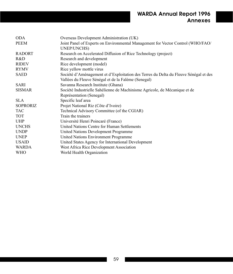# **WARDA Annual Report 1996 Annexes**

| <b>ODA</b>      | Overseas Development Administration (UK)                                             |
|-----------------|--------------------------------------------------------------------------------------|
| <b>PEEM</b>     | Joint Panel of Experts on Environmental Management for Vector Control (WHO/FAO/      |
|                 | <b>UNEP/UNCHS)</b>                                                                   |
| <b>RADORT</b>   | Research on Accelerated Diffusion of Rice Technology (project)                       |
| R&D             | Research and development                                                             |
| <b>RIDEV</b>    | Rice development (model)                                                             |
| <b>RYMV</b>     | Rice yellow mottle virus                                                             |
| <b>SAED</b>     | Société d'Aménagement et d'Exploitation des Terres du Delta du Fleuve Sénégal et des |
|                 | Vallées du Fleuve Sénégal et de la Falème (Senegal)                                  |
| <b>SARI</b>     | Savanna Research Institute (Ghana)                                                   |
| <b>SISMAR</b>   | Société Industrielle Sahélienne de Machinisme Agricole, de Mécanique et de           |
|                 | Représentation (Senegal)                                                             |
| <b>SLA</b>      | Specific leaf area                                                                   |
| <b>SOPRORIZ</b> | Projet National Riz (Côte d'Ivoire)                                                  |
| <b>TAC</b>      | Technical Advisory Committee (of the CGIAR)                                          |
| <b>TOT</b>      | Train the trainers                                                                   |
| <b>UHP</b>      | Université Henri Poincaré (France)                                                   |
| <b>UNCHS</b>    | United Nations Centre for Human Settlements                                          |
| <b>UNDP</b>     | United Nations Development Programme                                                 |
| <b>UNEP</b>     | United Nations Environment Programme                                                 |
| <b>USAID</b>    | United States Agency for International Development                                   |
| <b>WARDA</b>    | West Africa Rice Development Association                                             |
| <b>WHO</b>      | World Health Organization                                                            |